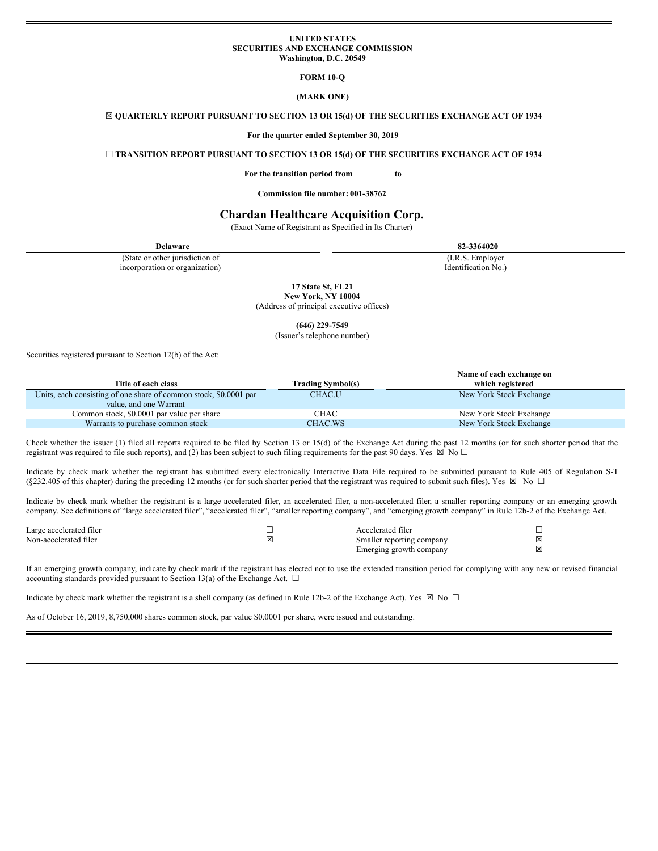## **UNITED STATES SECURITIES AND EXCHANGE COMMISSION Washington, D.C. 20549**

**FORM 10-Q**

**(MARK ONE)**

### ☒ **QUARTERLY REPORT PURSUANT TO SECTION 13 OR 15(d) OF THE SECURITIES EXCHANGE ACT OF 1934**

**For the quarter ended September 30, 2019**

#### ☐ **TRANSITION REPORT PURSUANT TO SECTION 13 OR 15(d) OF THE SECURITIES EXCHANGE ACT OF 1934**

#### **For the transition period from to**

**Commission file number: 001-38762**

# **Chardan Healthcare Acquisition Corp.**

(Exact Name of Registrant as Specified in Its Charter)

| <b>Delaware</b>                 | 82-3364020          |
|---------------------------------|---------------------|
| (State or other jurisdiction of | (I.R.S. Employer)   |
| incorporation or organization)  | Identification No.) |
|                                 | 17 State St. FL21   |

**New York, NY 10004** (Address of principal executive offices)

**(646) 229-7549**

(Issuer's telephone number)

Securities registered pursuant to Section 12(b) of the Act:

|                                                                   |                          | Name of each exchange on |
|-------------------------------------------------------------------|--------------------------|--------------------------|
| Title of each class                                               | <b>Trading Symbol(s)</b> | which registered         |
| Units, each consisting of one share of common stock, \$0,0001 par | CHAC.U                   | New York Stock Exchange  |
| value, and one Warrant                                            |                          |                          |
| Common stock, \$0.0001 par value per share                        | CHAC                     | New York Stock Exchange  |
| Warrants to purchase common stock                                 | CHAC.WS                  | New York Stock Exchange  |

Check whether the issuer (1) filed all reports required to be filed by Section 13 or 15(d) of the Exchange Act during the past 12 months (or for such shorter period that the registrant was required to file such reports), and (2) has been subject to such filing requirements for the past 90 days. Yes  $\boxtimes$  No  $\Box$ 

Indicate by check mark whether the registrant has submitted every electronically Interactive Data File required to be submitted pursuant to Rule 405 of Regulation S-T (§232.405 of this chapter) during the preceding 12 months (or for such shorter period that the registrant was required to submit such files). Yes  $\boxtimes$  No  $\Box$ 

Indicate by check mark whether the registrant is a large accelerated filer, an accelerated filer, a non-accelerated filer, a smaller reporting company or an emerging growth company. See definitions of "large accelerated filer", "accelerated filer", "smaller reporting company", and "emerging growth company" in Rule 12b-2 of the Exchange Act.

| Large accelerated filer | Accelerated filer         |  |
|-------------------------|---------------------------|--|
| Non-accelerated filer   | Smaller reporting company |  |
|                         | Emerging growth company   |  |

If an emerging growth company, indicate by check mark if the registrant has elected not to use the extended transition period for complying with any new or revised financial accounting standards provided pursuant to Section 13(a) of the Exchange Act.  $\square$ 

Indicate by check mark whether the registrant is a shell company (as defined in Rule 12b-2 of the Exchange Act). Yes  $\boxtimes$  No  $\Box$ 

As of October 16, 2019, 8,750,000 shares common stock, par value \$0.0001 per share, were issued and outstanding.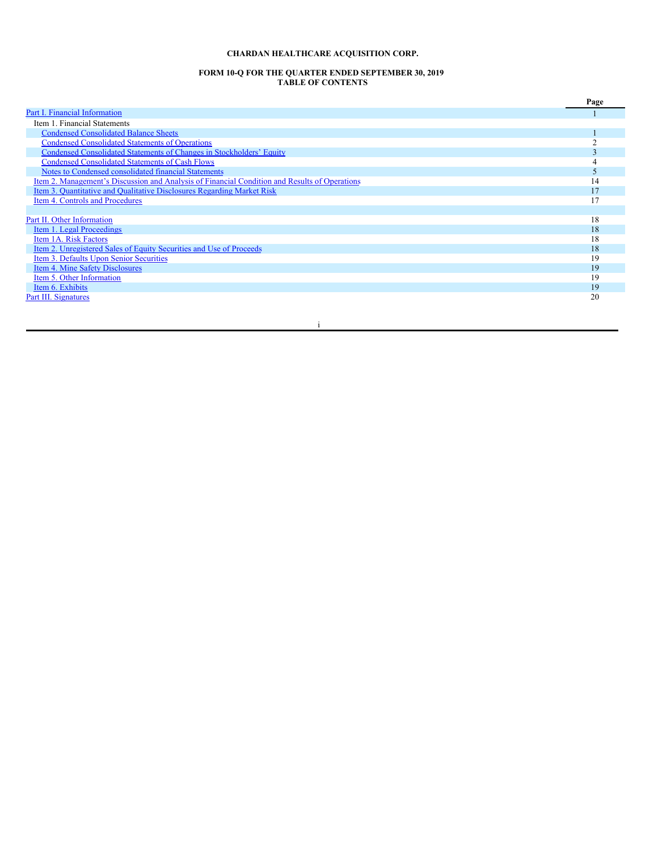# **CHARDAN HEALTHCARE ACQUISITION CORP.**

#### **FORM 10-Q FOR THE QUARTER ENDED SEPTEMBER 30, 2019 TABLE OF CONTENTS**

|                                                                                               | Page |
|-----------------------------------------------------------------------------------------------|------|
| Part I. Financial Information                                                                 |      |
| Item 1. Financial Statements                                                                  |      |
| <b>Condensed Consolidated Balance Sheets</b>                                                  |      |
| <b>Condensed Consolidated Statements of Operations</b>                                        |      |
| Condensed Consolidated Statements of Changes in Stockholders' Equity                          |      |
| <b>Condensed Consolidated Statements of Cash Flows</b>                                        |      |
| Notes to Condensed consolidated financial Statements                                          |      |
| Item 2. Management's Discussion and Analysis of Financial Condition and Results of Operations | 14   |
| Item 3. Quantitative and Qualitative Disclosures Regarding Market Risk                        |      |
| Item 4. Controls and Procedures                                                               |      |
|                                                                                               |      |
| Part II. Other Information                                                                    | 18   |
| Item 1. Legal Proceedings                                                                     | 18   |
| Item 1A. Risk Factors                                                                         | 18   |
| Item 2. Unregistered Sales of Equity Securities and Use of Proceeds                           | 18   |
| Item 3. Defaults Upon Senior Securities                                                       | 19   |
| Item 4. Mine Safety Disclosures                                                               | 19   |
| Item 5. Other Information                                                                     | 19   |
| Item 6. Exhibits                                                                              | 19   |
| <b>Part III. Signatures</b>                                                                   | 20   |

i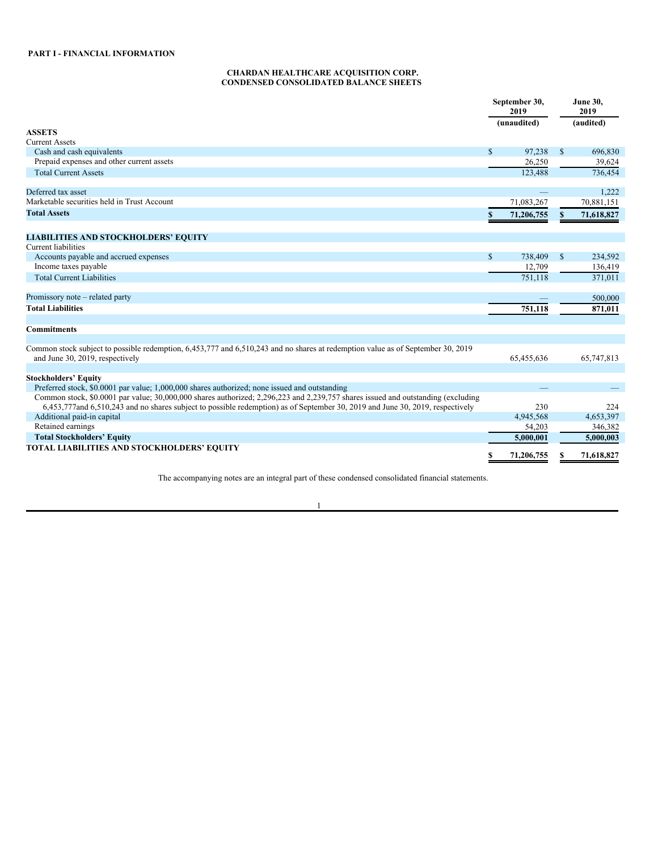## <span id="page-2-1"></span>**CHARDAN HEALTHCARE ACQUISITION CORP. CONDENSED CONSOLIDATED BALANCE SHEETS**

<span id="page-2-0"></span>

|                                                                                                                                                                    |               | September 30,<br>2019 |             | <b>June 30,</b><br>2019 |
|--------------------------------------------------------------------------------------------------------------------------------------------------------------------|---------------|-----------------------|-------------|-------------------------|
|                                                                                                                                                                    |               | (unaudited)           |             | (audited)               |
| <b>ASSETS</b>                                                                                                                                                      |               |                       |             |                         |
| <b>Current Assets</b>                                                                                                                                              |               |                       |             |                         |
| Cash and cash equivalents                                                                                                                                          | $\mathcal{S}$ | 97,238                | $\mathbf S$ | 696,830                 |
| Prepaid expenses and other current assets                                                                                                                          |               | 26,250                |             | 39,624                  |
| <b>Total Current Assets</b>                                                                                                                                        |               | 123,488               |             | 736,454                 |
| Deferred tax asset                                                                                                                                                 |               |                       |             | 1.222                   |
| Marketable securities held in Trust Account                                                                                                                        |               | 71,083,267            |             | 70,881,151              |
| <b>Total Assets</b>                                                                                                                                                |               | 71,206,755            | S           | 71,618,827              |
|                                                                                                                                                                    |               |                       |             |                         |
| <b>LIABILITIES AND STOCKHOLDERS' EQUITY</b><br><b>Current liabilities</b>                                                                                          |               |                       |             |                         |
| Accounts payable and accrued expenses                                                                                                                              | $\mathbb{S}$  | 738,409               | \$          | 234,592                 |
| Income taxes payable                                                                                                                                               |               | 12,709                |             | 136,419                 |
| <b>Total Current Liabilities</b>                                                                                                                                   |               | 751.118               |             | 371,011                 |
|                                                                                                                                                                    |               |                       |             |                         |
| Promissory note – related party                                                                                                                                    |               |                       |             | 500,000                 |
| <b>Total Liabilities</b>                                                                                                                                           |               | 751,118               |             | 871,011                 |
| <b>Commitments</b>                                                                                                                                                 |               |                       |             |                         |
| Common stock subject to possible redemption, 6,453,777 and 6,510,243 and no shares at redemption value as of September 30, 2019<br>and June 30, 2019, respectively |               | 65,455,636            |             | 65,747,813              |
| <b>Stockholders' Equity</b>                                                                                                                                        |               |                       |             |                         |
| Preferred stock, \$0.0001 par value; 1,000,000 shares authorized; none issued and outstanding                                                                      |               |                       |             |                         |
| Common stock, \$0,0001 par value; 30,000,000 shares authorized; 2,296,223 and 2,239,757 shares issued and outstanding (excluding                                   |               |                       |             |                         |
| 6,453,777and 6,510,243 and no shares subject to possible redemption) as of September 30, 2019 and June 30, 2019, respectively                                      |               | 230                   |             | 224                     |
| Additional paid-in capital                                                                                                                                         |               | 4,945,568             |             | 4.653.397               |
| Retained earnings                                                                                                                                                  |               | 54,203                |             | 346,382                 |
| <b>Total Stockholders' Equity</b>                                                                                                                                  |               | 5,000,001             |             | 5,000,003               |
| TOTAL LIABILITIES AND STOCKHOLDERS' EQUITY                                                                                                                         |               |                       |             |                         |
|                                                                                                                                                                    |               | 71,206,755            |             | 71,618,827              |

The accompanying notes are an integral part of these condensed consolidated financial statements.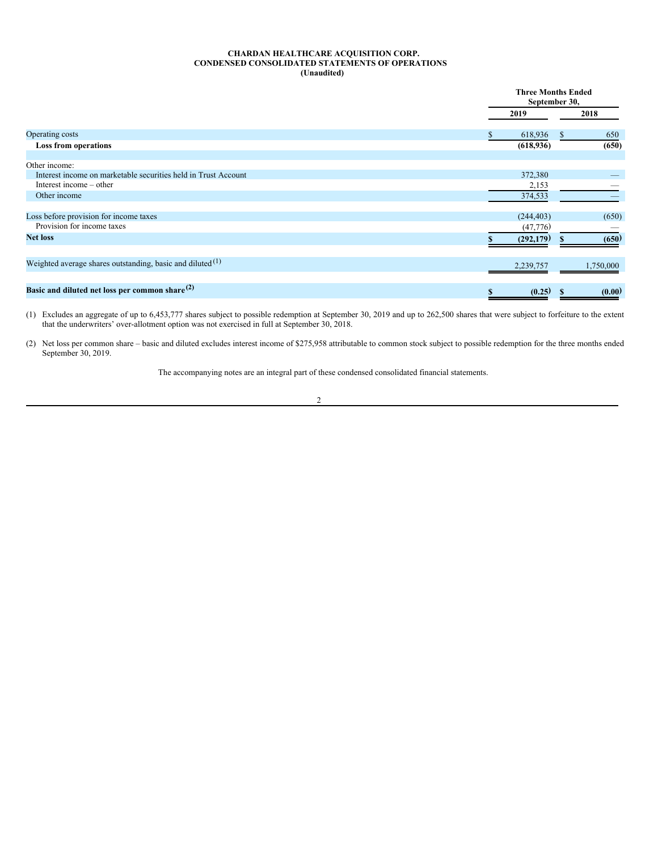## <span id="page-3-0"></span>**CHARDAN HEALTHCARE ACQUISITION CORP. CONDENSED CONSOLIDATED STATEMENTS OF OPERATIONS (Unaudited)**

|                                                                |            | <b>Three Months Ended</b><br>September 30, |
|----------------------------------------------------------------|------------|--------------------------------------------|
|                                                                | 2019       | 2018                                       |
| Operating costs                                                | 618,936    | 650<br>S.                                  |
| Loss from operations                                           | (618, 936) | (650)                                      |
| Other income:                                                  |            |                                            |
| Interest income on marketable securities held in Trust Account | 372,380    |                                            |
| Interest income – other                                        | 2,153      |                                            |
| Other income                                                   | 374,533    |                                            |
| Loss before provision for income taxes                         | (244, 403) | (650)                                      |
| Provision for income taxes                                     | (47,776)   |                                            |
| <b>Net loss</b>                                                | (292, 179) | (650)                                      |
| Weighted average shares outstanding, basic and diluted $(1)$   | 2,239,757  | 1,750,000                                  |
|                                                                |            |                                            |
| Basic and diluted net loss per common share $(2)$              | (0.25)     | (0.00)<br>S                                |

(1) Excludes an aggregate of up to 6,453,777 shares subject to possible redemption at September 30, 2019 and up to 262,500 shares that were subject to forfeiture to the extent that the underwriters' over-allotment option was not exercised in full at September 30, 2018.

(2) Net loss per common share – basic and diluted excludes interest income of \$275,958 attributable to common stock subject to possible redemption for the three months ended September 30, 2019.

The accompanying notes are an integral part of these condensed consolidated financial statements.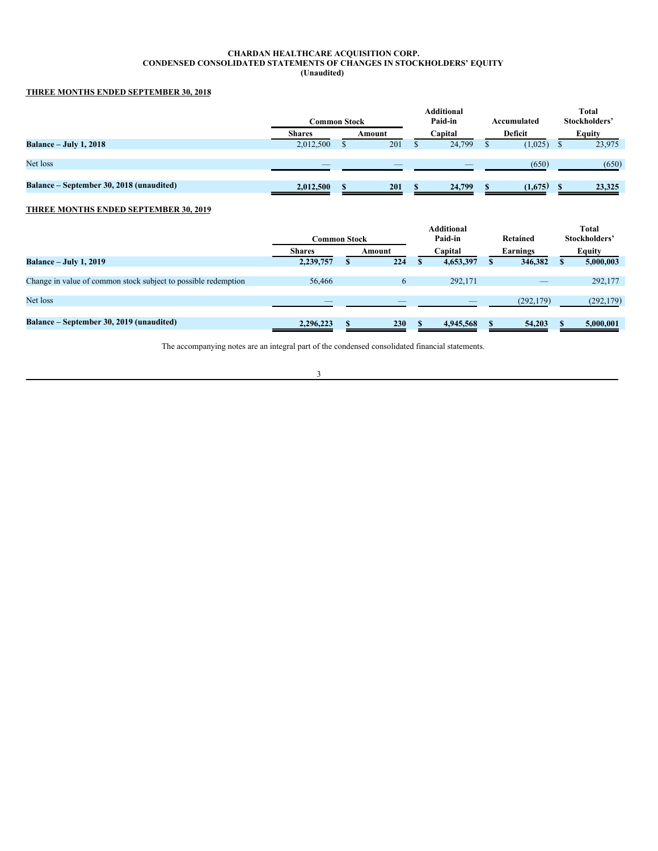#### <span id="page-4-0"></span>**CHARDAN HEALTHCARE ACQUISITION CORP. CONDENSED CONSOLIDATED STATEMENTS OF CHANGES IN STOCKHOLDERS' EQUITY (Unaudited)**

# **THREE MONTHS ENDED SEPTEMBER 30, 2018**

|                                          | Common Stock             |        | <b>Additional</b><br>Paid-in | Accumulated | <b>Total</b><br>Stockholders' |
|------------------------------------------|--------------------------|--------|------------------------------|-------------|-------------------------------|
|                                          | <b>Shares</b>            | Amount | Capital                      | Deficit     | <b>Equity</b>                 |
| <b>Balance – July 1, 2018</b>            | 2,012,500                | 201    | 24.799                       | (1,025)     | 23,975                        |
|                                          |                          |        |                              |             |                               |
| Net loss                                 | $\overline{\phantom{a}}$ | _      | _                            | (650)       | (650)                         |
|                                          |                          |        |                              |             |                               |
| Balance – September 30, 2018 (unaudited) | 2,012,500                | 201    | 24,799                       | (1,675)     | 23,325                        |
|                                          |                          |        |                              |             |                               |

# **THREE MONTHS ENDED SEPTEMBER 30, 2019**

|                                                                | Common Stock  |        | Additional<br>Paid-in | Retained   | <b>Total</b><br>Stockholders' |
|----------------------------------------------------------------|---------------|--------|-----------------------|------------|-------------------------------|
|                                                                | <b>Shares</b> | Amount | Capital               | Earnings   | Equity                        |
| <b>Balance – July 1, 2019</b>                                  | 2,239,757     | 224    | 4,653,397             | 346,382    | 5,000,003                     |
|                                                                |               |        |                       |            |                               |
| Change in value of common stock subject to possible redemption | 56,466        | 6      | 292,171               |            | 292,177                       |
|                                                                |               |        |                       |            |                               |
| Net loss                                                       | $-$           |        |                       | (292, 179) | (292, 179)                    |
|                                                                |               |        |                       |            |                               |
| Balance – September 30, 2019 (unaudited)                       | 2.296.223     | 230    | 4,945,568             | 54,203     | 5,000,001                     |

The accompanying notes are an integral part of the condensed consolidated financial statements.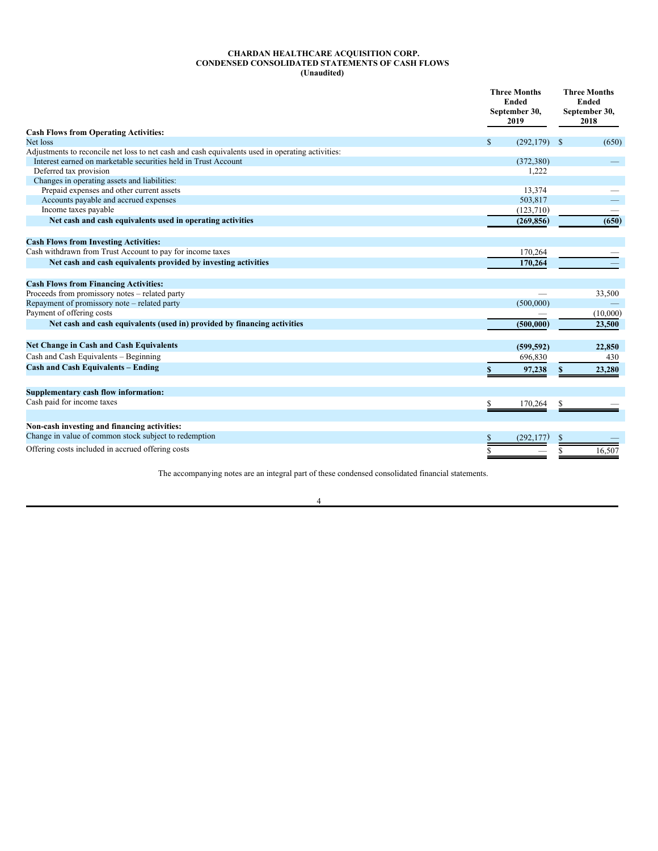#### <span id="page-5-0"></span>**CHARDAN HEALTHCARE ACQUISITION CORP. CONDENSED CONSOLIDATED STATEMENTS OF CASH FLOWS (Unaudited)**

|                                                                                                  | <b>Three Months</b><br><b>Ended</b><br>September 30,<br>2019 | <b>Three Months</b><br><b>Ended</b><br>September 30,<br>2018 |
|--------------------------------------------------------------------------------------------------|--------------------------------------------------------------|--------------------------------------------------------------|
| <b>Cash Flows from Operating Activities:</b>                                                     |                                                              |                                                              |
| Net loss                                                                                         | $\mathbb{S}$<br>(292, 179)                                   | (650)<br>- S                                                 |
| Adjustments to reconcile net loss to net cash and cash equivalents used in operating activities: |                                                              |                                                              |
| Interest earned on marketable securities held in Trust Account                                   | (372, 380)                                                   |                                                              |
| Deferred tax provision                                                                           | 1,222                                                        |                                                              |
| Changes in operating assets and liabilities:                                                     |                                                              |                                                              |
| Prepaid expenses and other current assets                                                        | 13,374                                                       |                                                              |
| Accounts payable and accrued expenses                                                            | 503,817                                                      |                                                              |
| Income taxes payable                                                                             | (123, 710)                                                   |                                                              |
| Net cash and cash equivalents used in operating activities                                       | (269, 856)                                                   | (650)                                                        |
| <b>Cash Flows from Investing Activities:</b>                                                     |                                                              |                                                              |
| Cash withdrawn from Trust Account to pay for income taxes                                        | 170,264                                                      |                                                              |
| Net cash and cash equivalents provided by investing activities                                   | 170,264                                                      |                                                              |
| <b>Cash Flows from Financing Activities:</b>                                                     |                                                              |                                                              |
| Proceeds from promissory notes - related party                                                   |                                                              | 33,500                                                       |
| Repayment of promissory note – related party                                                     | (500,000)                                                    |                                                              |
| Payment of offering costs                                                                        |                                                              | (10,000)                                                     |
| Net cash and cash equivalents (used in) provided by financing activities                         | (500, 000)                                                   | 23,500                                                       |
|                                                                                                  |                                                              |                                                              |
| <b>Net Change in Cash and Cash Equivalents</b>                                                   | (599, 592)                                                   | 22,850                                                       |
| Cash and Cash Equivalents - Beginning                                                            | 696,830                                                      | 430                                                          |
| <b>Cash and Cash Equivalents - Ending</b>                                                        | 97,238                                                       | 23,280                                                       |
|                                                                                                  |                                                              |                                                              |
| Supplementary cash flow information:                                                             |                                                              |                                                              |
| Cash paid for income taxes                                                                       | 170,264                                                      |                                                              |
| Non-cash investing and financing activities:                                                     |                                                              |                                                              |
| Change in value of common stock subject to redemption                                            | (292, 177)                                                   |                                                              |
| Offering costs included in accrued offering costs                                                |                                                              | 16,507                                                       |

The accompanying notes are an integral part of these condensed consolidated financial statements.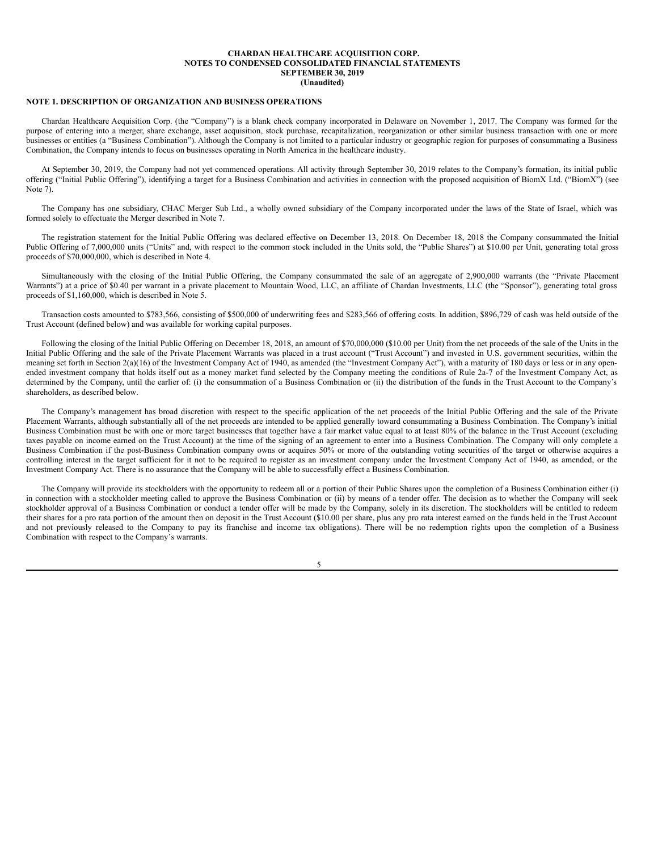#### <span id="page-6-0"></span>**NOTE 1. DESCRIPTION OF ORGANIZATION AND BUSINESS OPERATIONS**

Chardan Healthcare Acquisition Corp. (the "Company") is a blank check company incorporated in Delaware on November 1, 2017. The Company was formed for the purpose of entering into a merger, share exchange, asset acquisition, stock purchase, recapitalization, reorganization or other similar business transaction with one or more businesses or entities (a "Business Combination"). Although the Company is not limited to a particular industry or geographic region for purposes of consummating a Business Combination, the Company intends to focus on businesses operating in North America in the healthcare industry.

At September 30, 2019, the Company had not yet commenced operations. All activity through September 30, 2019 relates to the Company's formation, its initial public offering ("Initial Public Offering"), identifying a target for a Business Combination and activities in connection with the proposed acquisition of BiomX Ltd. ("BiomX") (see Note 7).

The Company has one subsidiary, CHAC Merger Sub Ltd., a wholly owned subsidiary of the Company incorporated under the laws of the State of Israel, which was formed solely to effectuate the Merger described in Note 7.

The registration statement for the Initial Public Offering was declared effective on December 13, 2018. On December 18, 2018 the Company consummated the Initial Public Offering of 7,000,000 units ("Units" and, with respect to the common stock included in the Units sold, the "Public Shares") at \$10.00 per Unit, generating total gross proceeds of \$70,000,000, which is described in Note 4.

Simultaneously with the closing of the Initial Public Offering, the Company consummated the sale of an aggregate of 2,900,000 warrants (the "Private Placement Warrants") at a price of \$0.40 per warrant in a private placement to Mountain Wood, LLC, an affiliate of Chardan Investments, LLC (the "Sponsor"), generating total gross proceeds of \$1,160,000, which is described in Note 5.

Transaction costs amounted to \$783,566, consisting of \$500,000 of underwriting fees and \$283,566 of offering costs. In addition, \$896,729 of cash was held outside of the Trust Account (defined below) and was available for working capital purposes.

Following the closing of the Initial Public Offering on December 18, 2018, an amount of \$70,000,000 (\$10.00 per Unit) from the net proceeds of the sale of the Units in the Initial Public Offering and the sale of the Private Placement Warrants was placed in a trust account ("Trust Account") and invested in U.S. government securities, within the meaning set forth in Section 2(a)(16) of the Investment Company Act of 1940, as amended (the "Investment Company Act"), with a maturity of 180 days or less or in any openended investment company that holds itself out as a money market fund selected by the Company meeting the conditions of Rule 2a-7 of the Investment Company Act, as determined by the Company, until the earlier of: (i) the consummation of a Business Combination or (ii) the distribution of the funds in the Trust Account to the Company's shareholders, as described below.

The Company's management has broad discretion with respect to the specific application of the net proceeds of the Initial Public Offering and the sale of the Private Placement Warrants, although substantially all of the net proceeds are intended to be applied generally toward consummating a Business Combination. The Company's initial Business Combination must be with one or more target businesses that together have a fair market value equal to at least 80% of the balance in the Trust Account (excluding taxes payable on income earned on the Trust Account) at the time of the signing of an agreement to enter into a Business Combination. The Company will only complete a Business Combination if the post-Business Combination company owns or acquires 50% or more of the outstanding voting securities of the target or otherwise acquires a controlling interest in the target sufficient for it not to be required to register as an investment company under the Investment Company Act of 1940, as amended, or the Investment Company Act. There is no assurance that the Company will be able to successfully effect a Business Combination.

The Company will provide its stockholders with the opportunity to redeem all or a portion of their Public Shares upon the completion of a Business Combination either (i) in connection with a stockholder meeting called to approve the Business Combination or (ii) by means of a tender offer. The decision as to whether the Company will seek stockholder approval of a Business Combination or conduct a tender offer will be made by the Company, solely in its discretion. The stockholders will be entitled to redeem their shares for a pro rata portion of the amount then on deposit in the Trust Account (\$10.00 per share, plus any pro rata interest earned on the funds held in the Trust Account and not previously released to the Company to pay its franchise and income tax obligations). There will be no redemption rights upon the completion of a Business Combination with respect to the Company's warrants.

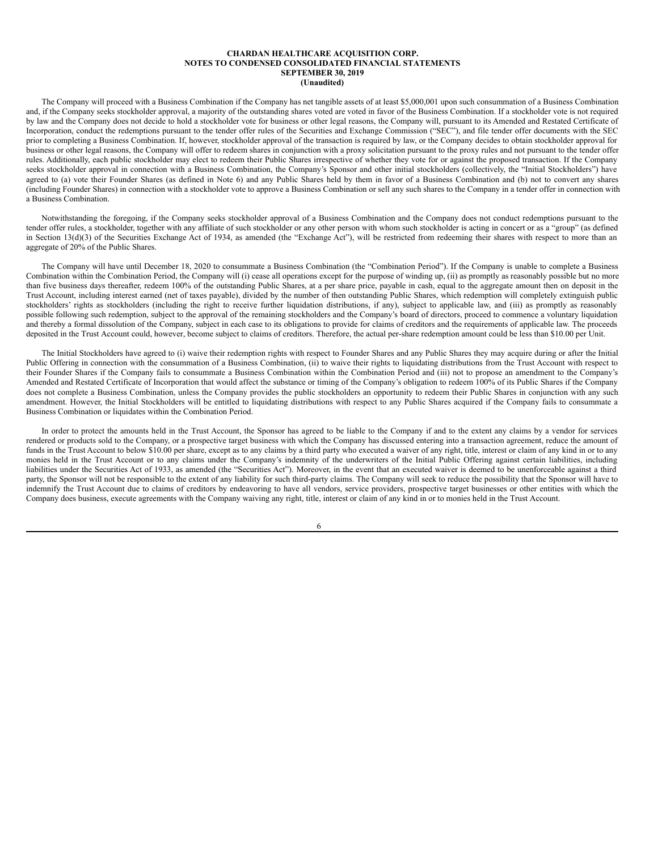The Company will proceed with a Business Combination if the Company has net tangible assets of at least \$5,000,001 upon such consummation of a Business Combination and, if the Company seeks stockholder approval, a majority of the outstanding shares voted are voted in favor of the Business Combination. If a stockholder vote is not required by law and the Company does not decide to hold a stockholder vote for business or other legal reasons, the Company will, pursuant to its Amended and Restated Certificate of Incorporation, conduct the redemptions pursuant to the tender offer rules of the Securities and Exchange Commission ("SEC"), and file tender offer documents with the SEC prior to completing a Business Combination. If, however, stockholder approval of the transaction is required by law, or the Company decides to obtain stockholder approval for business or other legal reasons, the Company will offer to redeem shares in conjunction with a proxy solicitation pursuant to the proxy rules and not pursuant to the tender offer rules. Additionally, each public stockholder may elect to redeem their Public Shares irrespective of whether they vote for or against the proposed transaction. If the Company seeks stockholder approval in connection with a Business Combination, the Company's Sponsor and other initial stockholders (collectively, the "Initial Stockholders") have agreed to (a) vote their Founder Shares (as defined in Note 6) and any Public Shares held by them in favor of a Business Combination and (b) not to convert any shares (including Founder Shares) in connection with a stockholder vote to approve a Business Combination or sell any such shares to the Company in a tender offer in connection with a Business Combination.

Notwithstanding the foregoing, if the Company seeks stockholder approval of a Business Combination and the Company does not conduct redemptions pursuant to the tender offer rules, a stockholder, together with any affiliate of such stockholder or any other person with whom such stockholder is acting in concert or as a "group" (as defined in Section 13(d)(3) of the Securities Exchange Act of 1934, as amended (the "Exchange Act"), will be restricted from redeeming their shares with respect to more than an aggregate of 20% of the Public Shares.

The Company will have until December 18, 2020 to consummate a Business Combination (the "Combination Period"). If the Company is unable to complete a Business Combination within the Combination Period, the Company will (i) cease all operations except for the purpose of winding up, (ii) as promptly as reasonably possible but no more than five business days thereafter, redeem 100% of the outstanding Public Shares, at a per share price, payable in cash, equal to the aggregate amount then on deposit in the Trust Account, including interest earned (net of taxes payable), divided by the number of then outstanding Public Shares, which redemption will completely extinguish public stockholders' rights as stockholders (including the right to receive further liquidation distributions, if any), subject to applicable law, and (iii) as promptly as reasonably possible following such redemption, subject to the approval of the remaining stockholders and the Company's board of directors, proceed to commence a voluntary liquidation and thereby a formal dissolution of the Company, subject in each case to its obligations to provide for claims of creditors and the requirements of applicable law. The proceeds deposited in the Trust Account could, however, become subject to claims of creditors. Therefore, the actual per-share redemption amount could be less than \$10.00 per Unit.

The Initial Stockholders have agreed to (i) waive their redemption rights with respect to Founder Shares and any Public Shares they may acquire during or after the Initial Public Offering in connection with the consummation of a Business Combination, (ii) to waive their rights to liquidating distributions from the Trust Account with respect to their Founder Shares if the Company fails to consummate a Business Combination within the Combination Period and (iii) not to propose an amendment to the Company's Amended and Restated Certificate of Incorporation that would affect the substance or timing of the Company's obligation to redeem 100% of its Public Shares if the Company does not complete a Business Combination, unless the Company provides the public stockholders an opportunity to redeem their Public Shares in conjunction with any such amendment. However, the Initial Stockholders will be entitled to liquidating distributions with respect to any Public Shares acquired if the Company fails to consummate a Business Combination or liquidates within the Combination Period.

In order to protect the amounts held in the Trust Account, the Sponsor has agreed to be liable to the Company if and to the extent any claims by a vendor for services rendered or products sold to the Company, or a prospective target business with which the Company has discussed entering into a transaction agreement, reduce the amount of funds in the Trust Account to below \$10.00 per share, except as to any claims by a third party who executed a waiver of any right, title, interest or claim of any kind in or to any monies held in the Trust Account or to any claims under the Company's indemnity of the underwriters of the Initial Public Offering against certain liabilities, including liabilities under the Securities Act of 1933, as amended (the "Securities Act"). Moreover, in the event that an executed waiver is deemed to be unenforceable against a third party, the Sponsor will not be responsible to the extent of any liability for such third-party claims. The Company will seek to reduce the possibility that the Sponsor will have to indemnify the Trust Account due to claims of creditors by endeavoring to have all vendors, service providers, prospective target businesses or other entities with which the Company does business, execute agreements with the Company waiving any right, title, interest or claim of any kind in or to monies held in the Trust Account.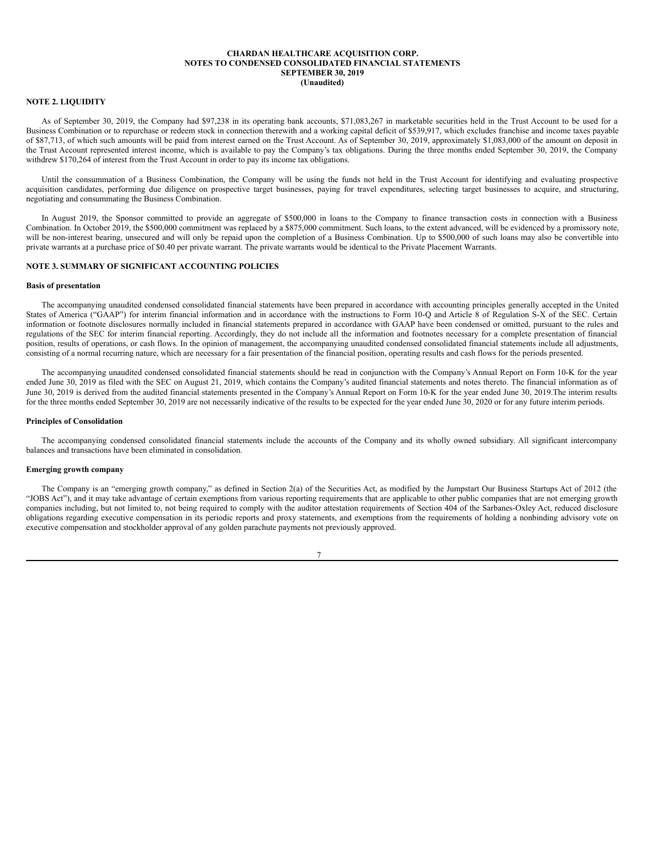#### **NOTE 2. LIQUIDITY**

As of September 30, 2019, the Company had \$97,238 in its operating bank accounts, \$71,083,267 in marketable securities held in the Trust Account to be used for a Business Combination or to repurchase or redeem stock in connection therewith and a working capital deficit of \$539,917, which excludes franchise and income taxes payable of \$87,713, of which such amounts will be paid from interest earned on the Trust Account. As of September 30, 2019, approximately \$1,083,000 of the amount on deposit in the Trust Account represented interest income, which is available to pay the Company's tax obligations. During the three months ended September 30, 2019, the Company withdrew \$170,264 of interest from the Trust Account in order to pay its income tax obligations.

Until the consummation of a Business Combination, the Company will be using the funds not held in the Trust Account for identifying and evaluating prospective acquisition candidates, performing due diligence on prospective target businesses, paying for travel expenditures, selecting target businesses to acquire, and structuring, negotiating and consummating the Business Combination.

In August 2019, the Sponsor committed to provide an aggregate of \$500,000 in loans to the Company to finance transaction costs in connection with a Business Combination. In October 2019, the \$500,000 commitment was replaced by a \$875,000 commitment. Such loans, to the extent advanced, will be evidenced by a promissory note, will be non-interest bearing, unsecured and will only be repaid upon the completion of a Business Combination. Up to \$500,000 of such loans may also be convertible into private warrants at a purchase price of \$0.40 per private warrant. The private warrants would be identical to the Private Placement Warrants.

## **NOTE 3. SUMMARY OF SIGNIFICANT ACCOUNTING POLICIES**

#### **Basis of presentation**

The accompanying unaudited condensed consolidated financial statements have been prepared in accordance with accounting principles generally accepted in the United States of America ("GAAP") for interim financial information and in accordance with the instructions to Form 10-Q and Article 8 of Regulation S-X of the SEC. Certain information or footnote disclosures normally included in financial statements prepared in accordance with GAAP have been condensed or omitted, pursuant to the rules and regulations of the SEC for interim financial reporting. Accordingly, they do not include all the information and footnotes necessary for a complete presentation of financial position, results of operations, or cash flows. In the opinion of management, the accompanying unaudited condensed consolidated financial statements include all adjustments, consisting of a normal recurring nature, which are necessary for a fair presentation of the financial position, operating results and cash flows for the periods presented.

The accompanying unaudited condensed consolidated financial statements should be read in conjunction with the Company's Annual Report on Form 10-K for the year ended June 30, 2019 as filed with the SEC on August 21, 2019, which contains the Company's audited financial statements and notes thereto. The financial information as of June 30, 2019 is derived from the audited financial statements presented in the Company's Annual Report on Form 10-K for the year ended June 30, 2019. The interim results for the three months ended September 30, 2019 are not necessarily indicative of the results to be expected for the year ended June 30, 2020 or for any future interim periods.

#### **Principles of Consolidation**

The accompanying condensed consolidated financial statements include the accounts of the Company and its wholly owned subsidiary. All significant intercompany balances and transactions have been eliminated in consolidation.

#### **Emerging growth company**

The Company is an "emerging growth company," as defined in Section 2(a) of the Securities Act, as modified by the Jumpstart Our Business Startups Act of 2012 (the "JOBS Act"), and it may take advantage of certain exemptions from various reporting requirements that are applicable to other public companies that are not emerging growth companies including, but not limited to, not being required to comply with the auditor attestation requirements of Section 404 of the Sarbanes-Oxley Act, reduced disclosure obligations regarding executive compensation in its periodic reports and proxy statements, and exemptions from the requirements of holding a nonbinding advisory vote on executive compensation and stockholder approval of any golden parachute payments not previously approved.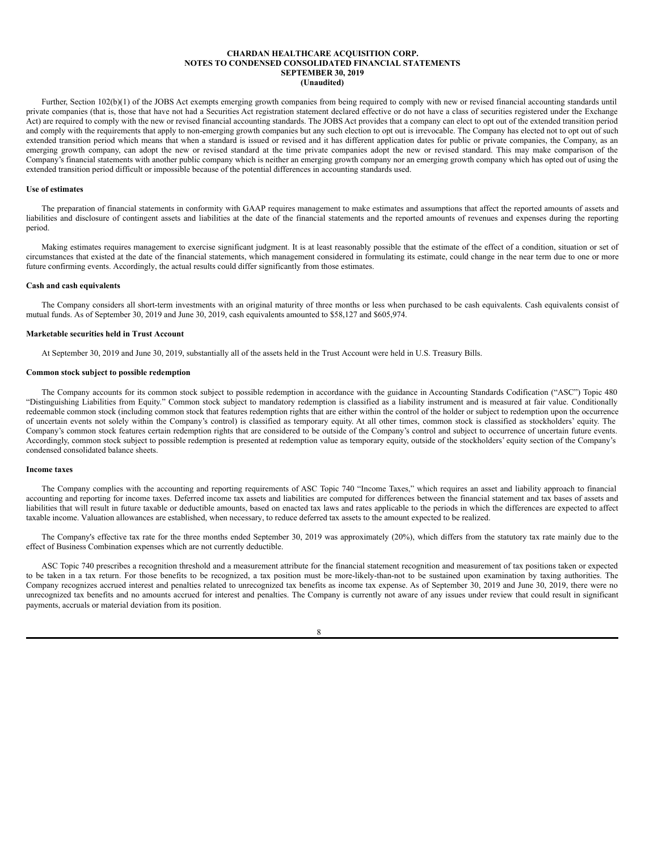Further, Section 102(b)(1) of the JOBS Act exempts emerging growth companies from being required to comply with new or revised financial accounting standards until private companies (that is, those that have not had a Securities Act registration statement declared effective or do not have a class of securities registered under the Exchange Act) are required to comply with the new or revised financial accounting standards. The JOBS Act provides that a company can elect to opt out of the extended transition period and comply with the requirements that apply to non-emerging growth companies but any such election to opt out is irrevocable. The Company has elected not to opt out of such extended transition period which means that when a standard is issued or revised and it has different application dates for public or private companies, the Company, as an emerging growth company, can adopt the new or revised standard at the time private companies adopt the new or revised standard. This may make comparison of the Company's financial statements with another public company which is neither an emerging growth company nor an emerging growth company which has opted out of using the extended transition period difficult or impossible because of the potential differences in accounting standards used.

#### **Use of estimates**

The preparation of financial statements in conformity with GAAP requires management to make estimates and assumptions that affect the reported amounts of assets and liabilities and disclosure of contingent assets and liabilities at the date of the financial statements and the reported amounts of revenues and expenses during the reporting period.

Making estimates requires management to exercise significant judgment. It is at least reasonably possible that the estimate of the effect of a condition, situation or set of circumstances that existed at the date of the financial statements, which management considered in formulating its estimate, could change in the near term due to one or more future confirming events. Accordingly, the actual results could differ significantly from those estimates.

#### **Cash and cash equivalents**

The Company considers all short-term investments with an original maturity of three months or less when purchased to be cash equivalents. Cash equivalents consist of mutual funds. As of September 30, 2019 and June 30, 2019, cash equivalents amounted to \$58,127 and \$605,974.

#### **Marketable securities held in Trust Account**

At September 30, 2019 and June 30, 2019, substantially all of the assets held in the Trust Account were held in U.S. Treasury Bills.

#### **Common stock subject to possible redemption**

The Company accounts for its common stock subject to possible redemption in accordance with the guidance in Accounting Standards Codification ("ASC") Topic 480 "Distinguishing Liabilities from Equity." Common stock subject to mandatory redemption is classified as a liability instrument and is measured at fair value. Conditionally redeemable common stock (including common stock that features redemption rights that are either within the control of the holder or subject to redemption upon the occurrence of uncertain events not solely within the Company's control) is classified as temporary equity. At all other times, common stock is classified as stockholders' equity. The Company's common stock features certain redemption rights that are considered to be outside of the Company's control and subject to occurrence of uncertain future events. Accordingly, common stock subject to possible redemption is presented at redemption value as temporary equity, outside of the stockholders' equity section of the Company's condensed consolidated balance sheets.

#### **Income taxes**

The Company complies with the accounting and reporting requirements of ASC Topic 740 "Income Taxes," which requires an asset and liability approach to financial accounting and reporting for income taxes. Deferred income tax assets and liabilities are computed for differences between the financial statement and tax bases of assets and liabilities that will result in future taxable or deductible amounts, based on enacted tax laws and rates applicable to the periods in which the differences are expected to affect taxable income. Valuation allowances are established, when necessary, to reduce deferred tax assets to the amount expected to be realized.

The Company's effective tax rate for the three months ended September 30, 2019 was approximately (20%), which differs from the statutory tax rate mainly due to the effect of Business Combination expenses which are not currently deductible.

ASC Topic 740 prescribes a recognition threshold and a measurement attribute for the financial statement recognition and measurement of tax positions taken or expected to be taken in a tax return. For those benefits to be recognized, a tax position must be more-likely-than-not to be sustained upon examination by taxing authorities. The Company recognizes accrued interest and penalties related to unrecognized tax benefits as income tax expense. As of September 30, 2019 and June 30, 2019, there were no unrecognized tax benefits and no amounts accrued for interest and penalties. The Company is currently not aware of any issues under review that could result in significant payments, accruals or material deviation from its position.

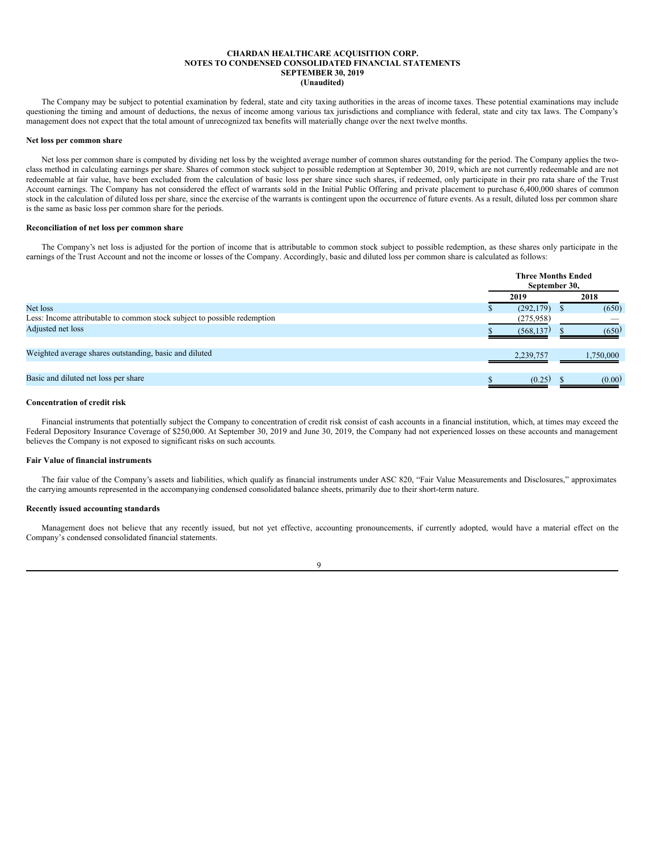The Company may be subject to potential examination by federal, state and city taxing authorities in the areas of income taxes. These potential examinations may include questioning the timing and amount of deductions, the nexus of income among various tax jurisdictions and compliance with federal, state and city tax laws. The Company's management does not expect that the total amount of unrecognized tax benefits will materially change over the next twelve months.

#### **Net loss per common share**

Net loss per common share is computed by dividing net loss by the weighted average number of common shares outstanding for the period. The Company applies the twoclass method in calculating earnings per share. Shares of common stock subject to possible redemption at September 30, 2019, which are not currently redeemable and are not redeemable at fair value, have been excluded from the calculation of basic loss per share since such shares, if redeemed, only participate in their pro rata share of the Trust Account earnings. The Company has not considered the effect of warrants sold in the Initial Public Offering and private placement to purchase 6,400,000 shares of common stock in the calculation of diluted loss per share, since the exercise of the warrants is contingent upon the occurrence of future events. As a result, diluted loss per common share is the same as basic loss per common share for the periods.

#### **Reconciliation of net loss per common share**

The Company's net loss is adjusted for the portion of income that is attributable to common stock subject to possible redemption, as these shares only participate in the earnings of the Trust Account and not the income or losses of the Company. Accordingly, basic and diluted loss per common share is calculated as follows:

|                                                                          | <b>Three Months Ended</b><br>September 30, |  |           |
|--------------------------------------------------------------------------|--------------------------------------------|--|-----------|
|                                                                          | 2019                                       |  | 2018      |
| Net loss                                                                 | (292, 179)                                 |  | (650)     |
| Less: Income attributable to common stock subject to possible redemption | (275,958)                                  |  |           |
| Adjusted net loss                                                        | (568, 137)                                 |  | (650)     |
| Weighted average shares outstanding, basic and diluted                   | 2,239,757                                  |  | 1,750,000 |
| Basic and diluted net loss per share                                     | (0.25)                                     |  | (0.00)    |

## **Concentration of credit risk**

Financial instruments that potentially subject the Company to concentration of credit risk consist of cash accounts in a financial institution, which, at times may exceed the Federal Depository Insurance Coverage of \$250,000. At September 30, 2019 and June 30, 2019, the Company had not experienced losses on these accounts and management believes the Company is not exposed to significant risks on such accounts.

# **Fair Value of financial instruments**

The fair value of the Company's assets and liabilities, which qualify as financial instruments under ASC 820, "Fair Value Measurements and Disclosures," approximates the carrying amounts represented in the accompanying condensed consolidated balance sheets, primarily due to their short-term nature.

## **Recently issued accounting standards**

Management does not believe that any recently issued, but not yet effective, accounting pronouncements, if currently adopted, would have a material effect on the Company's condensed consolidated financial statements.

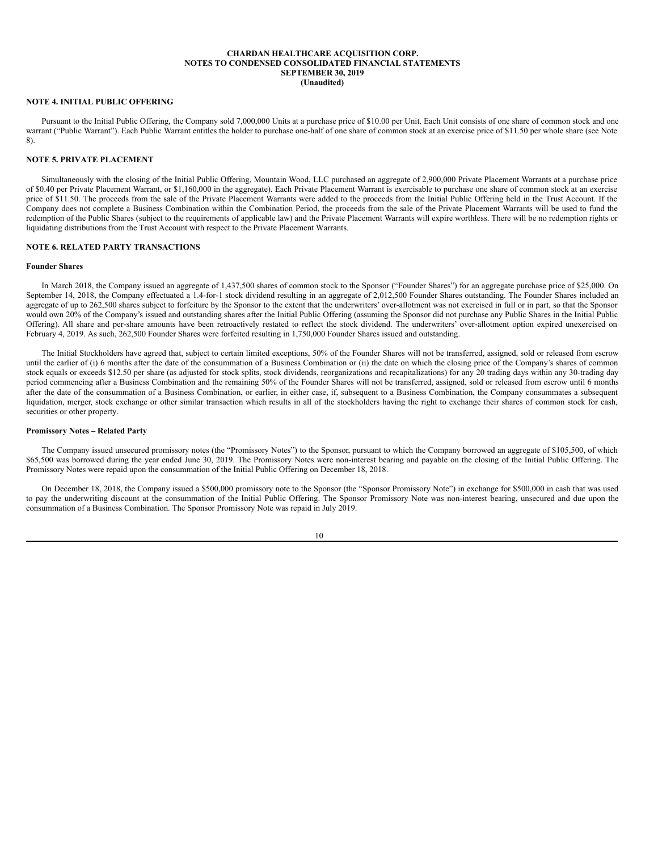#### **NOTE 4. INITIAL PUBLIC OFFERING**

Pursuant to the Initial Public Offering, the Company sold 7,000,000 Units at a purchase price of \$10.00 per Unit. Each Unit consists of one share of common stock and one warrant ("Public Warrant"). Each Public Warrant entitles the holder to purchase one-half of one share of common stock at an exercise price of \$11.50 per whole share (see Note 8).

# **NOTE 5. PRIVATE PLACEMENT**

Simultaneously with the closing of the Initial Public Offering, Mountain Wood, LLC purchased an aggregate of 2,900,000 Private Placement Warrants at a purchase price of \$0.40 per Private Placement Warrant, or \$1,160,000 in the aggregate). Each Private Placement Warrant is exercisable to purchase one share of common stock at an exercise price of \$11.50. The proceeds from the sale of the Private Placement Warrants were added to the proceeds from the Initial Public Offering held in the Trust Account. If the Company does not complete a Business Combination within the Combination Period, the proceeds from the sale of the Private Placement Warrants will be used to fund the redemption of the Public Shares (subject to the requirements of applicable law) and the Private Placement Warrants will expire worthless. There will be no redemption rights or liquidating distributions from the Trust Account with respect to the Private Placement Warrants.

# **NOTE 6. RELATED PARTY TRANSACTIONS**

#### **Founder Shares**

In March 2018, the Company issued an aggregate of 1,437,500 shares of common stock to the Sponsor ("Founder Shares") for an aggregate purchase price of \$25,000. On September 14, 2018, the Company effectuated a 1.4-for-1 stock dividend resulting in an aggregate of 2,012,500 Founder Shares outstanding. The Founder Shares included an aggregate of up to 262,500 shares subject to forfeiture by the Sponsor to the extent that the underwriters' over-allotment was not exercised in full or in part, so that the Sponsor would own 20% of the Company's issued and outstanding shares after the Initial Public Offering (assuming the Sponsor did not purchase any Public Shares in the Initial Public Offering). All share and per-share amounts have been retroactively restated to reflect the stock dividend. The underwriters' over-allotment option expired unexercised on February 4, 2019. As such, 262,500 Founder Shares were forfeited resulting in 1,750,000 Founder Shares issued and outstanding.

The Initial Stockholders have agreed that, subject to certain limited exceptions, 50% of the Founder Shares will not be transferred, assigned, sold or released from escrow until the earlier of (i) 6 months after the date of the consummation of a Business Combination or (ii) the date on which the closing price of the Company's shares of common stock equals or exceeds \$12.50 per share (as adjusted for stock splits, stock dividends, reorganizations and recapitalizations) for any 20 trading days within any 30-trading day period commencing after a Business Combination and the remaining 50% of the Founder Shares will not be transferred, assigned, sold or released from escrow until 6 months after the date of the consummation of a Business Combination, or earlier, in either case, if, subsequent to a Business Combination, the Company consummates a subsequent liquidation, merger, stock exchange or other similar transaction which results in all of the stockholders having the right to exchange their shares of common stock for cash, securities or other property.

#### **Promissory Notes – Related Party**

The Company issued unsecured promissory notes (the "Promissory Notes") to the Sponsor, pursuant to which the Company borrowed an aggregate of \$105,500, of which \$65,500 was borrowed during the year ended June 30, 2019. The Promissory Notes were non-interest bearing and payable on the closing of the Initial Public Offering. The Promissory Notes were repaid upon the consummation of the Initial Public Offering on December 18, 2018.

On December 18, 2018, the Company issued a \$500,000 promissory note to the Sponsor (the "Sponsor Promissory Note") in exchange for \$500,000 in cash that was used to pay the underwriting discount at the consummation of the Initial Public Offering. The Sponsor Promissory Note was non-interest bearing, unsecured and due upon the consummation of a Business Combination. The Sponsor Promissory Note was repaid in July 2019.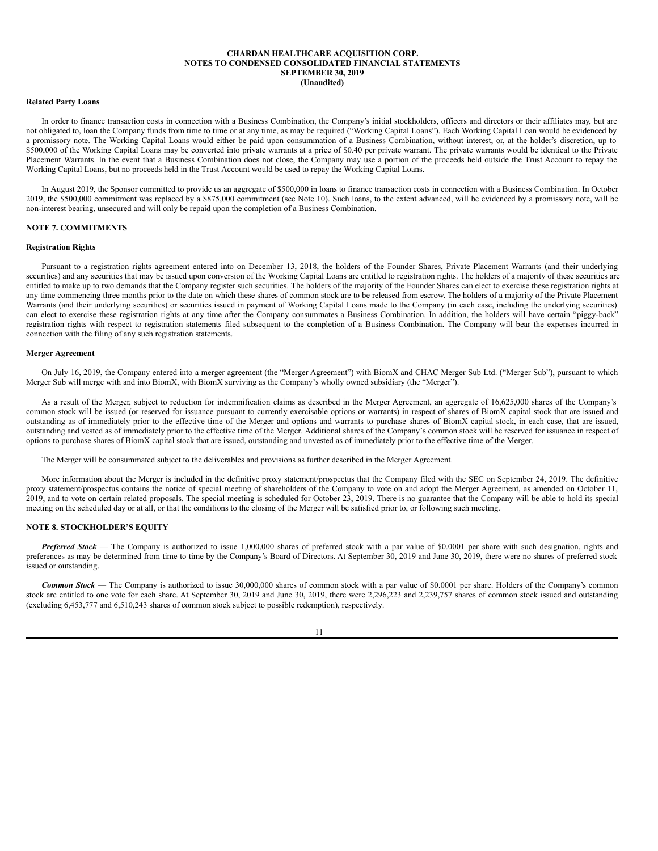## **Related Party Loans**

In order to finance transaction costs in connection with a Business Combination, the Company's initial stockholders, officers and directors or their affiliates may, but are not obligated to, loan the Company funds from time to time or at any time, as may be required ("Working Capital Loans"). Each Working Capital Loan would be evidenced by a promissory note. The Working Capital Loans would either be paid upon consummation of a Business Combination, without interest, or, at the holder's discretion, up to \$500,000 of the Working Capital Loans may be converted into private warrants at a price of \$0.40 per private warrant. The private warrants would be identical to the Private Placement Warrants. In the event that a Business Combination does not close, the Company may use a portion of the proceeds held outside the Trust Account to repay the Working Capital Loans, but no proceeds held in the Trust Account would be used to repay the Working Capital Loans.

In August 2019, the Sponsor committed to provide us an aggregate of \$500,000 in loans to finance transaction costs in connection with a Business Combination. In October 2019, the \$500,000 commitment was replaced by a \$875,000 commitment (see Note 10). Such loans, to the extent advanced, will be evidenced by a promissory note, will be non-interest bearing, unsecured and will only be repaid upon the completion of a Business Combination.

## **NOTE 7. COMMITMENTS**

## **Registration Rights**

Pursuant to a registration rights agreement entered into on December 13, 2018, the holders of the Founder Shares, Private Placement Warrants (and their underlying securities) and any securities that may be issued upon conversion of the Working Capital Loans are entitled to registration rights. The holders of a majority of these securities are entitled to make up to two demands that the Company register such securities. The holders of the majority of the Founder Shares can elect to exercise these registration rights at any time commencing three months prior to the date on which these shares of common stock are to be released from escrow. The holders of a majority of the Private Placement Warrants (and their underlying securities) or securities issued in payment of Working Capital Loans made to the Company (in each case, including the underlying securities) can elect to exercise these registration rights at any time after the Company consummates a Business Combination. In addition, the holders will have certain "piggy-back" registration rights with respect to registration statements filed subsequent to the completion of a Business Combination. The Company will bear the expenses incurred in connection with the filing of any such registration statements.

#### **Merger Agreement**

On July 16, 2019, the Company entered into a merger agreement (the "Merger Agreement") with BiomX and CHAC Merger Sub Ltd. ("Merger Sub"), pursuant to which Merger Sub will merge with and into BiomX, with BiomX surviving as the Company's wholly owned subsidiary (the "Merger").

As a result of the Merger, subject to reduction for indemnification claims as described in the Merger Agreement, an aggregate of 16,625,000 shares of the Company's common stock will be issued (or reserved for issuance pursuant to currently exercisable options or warrants) in respect of shares of BiomX capital stock that are issued and outstanding as of immediately prior to the effective time of the Merger and options and warrants to purchase shares of BiomX capital stock, in each case, that are issued, outstanding and vested as of immediately prior to the effective time of the Merger. Additional shares of the Company's common stock will be reserved for issuance in respect of options to purchase shares of BiomX capital stock that are issued, outstanding and unvested as of immediately prior to the effective time of the Merger.

The Merger will be consummated subject to the deliverables and provisions as further described in the Merger Agreement.

More information about the Merger is included in the definitive proxy statement/prospectus that the Company filed with the SEC on September 24, 2019. The definitive proxy statement/prospectus contains the notice of special meeting of shareholders of the Company to vote on and adopt the Merger Agreement, as amended on October 11, 2019, and to vote on certain related proposals. The special meeting is scheduled for October 23, 2019. There is no guarantee that the Company will be able to hold its special meeting on the scheduled day or at all, or that the conditions to the closing of the Merger will be satisfied prior to, or following such meeting.

#### **NOTE 8. STOCKHOLDER'S EQUITY**

*Preferred Stock* — The Company is authorized to issue 1,000,000 shares of preferred stock with a par value of \$0.0001 per share with such designation, rights and preferences as may be determined from time to time by the Company's Board of Directors. At September 30, 2019 and June 30, 2019, there were no shares of preferred stock issued or outstanding.

*Common Stock* — The Company is authorized to issue 30,000,000 shares of common stock with a par value of \$0.0001 per share. Holders of the Company's common stock are entitled to one vote for each share. At September 30, 2019 and June 30, 2019, there were 2,296,223 and 2,239,757 shares of common stock issued and outstanding (excluding 6,453,777 and 6,510,243 shares of common stock subject to possible redemption), respectively.

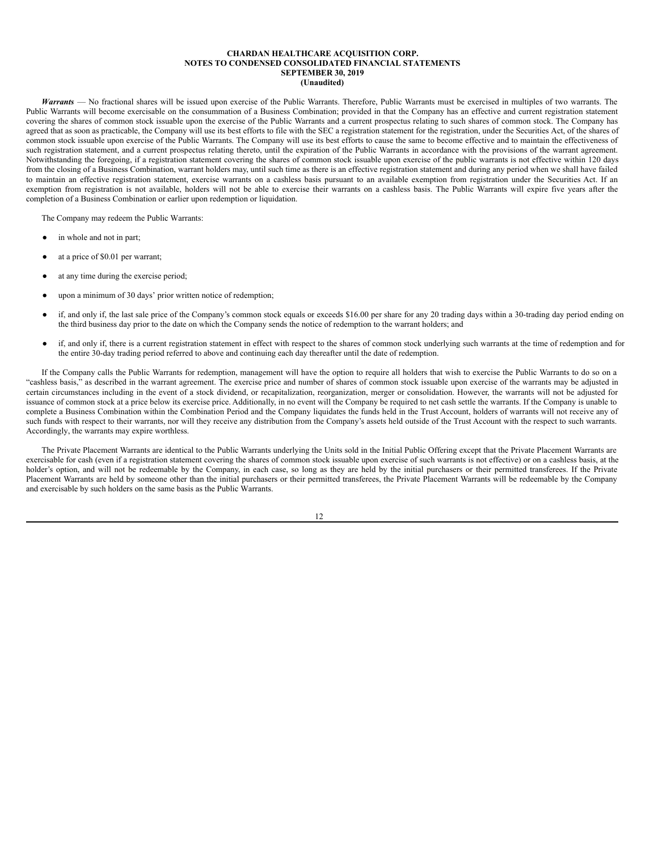*Warrants* — No fractional shares will be issued upon exercise of the Public Warrants. Therefore, Public Warrants must be exercised in multiples of two warrants. The Public Warrants will become exercisable on the consummation of a Business Combination; provided in that the Company has an effective and current registration statement covering the shares of common stock issuable upon the exercise of the Public Warrants and a current prospectus relating to such shares of common stock. The Company has agreed that as soon as practicable, the Company will use its best efforts to file with the SEC a registration statement for the registration, under the Securities Act, of the shares of common stock issuable upon exercise of the Public Warrants. The Company will use its best efforts to cause the same to become effective and to maintain the effectiveness of such registration statement, and a current prospectus relating thereto, until the expiration of the Public Warrants in accordance with the provisions of the warrant agreement. Notwithstanding the foregoing, if a registration statement covering the shares of common stock issuable upon exercise of the public warrants is not effective within 120 days from the closing of a Business Combination, warrant holders may, until such time as there is an effective registration statement and during any period when we shall have failed to maintain an effective registration statement, exercise warrants on a cashless basis pursuant to an available exemption from registration under the Securities Act. If an exemption from registration is not available, holders will not be able to exercise their warrants on a cashless basis. The Public Warrants will expire five years after the completion of a Business Combination or earlier upon redemption or liquidation.

The Company may redeem the Public Warrants:

- in whole and not in part;
- at a price of \$0.01 per warrant;
- at any time during the exercise period;
- upon a minimum of 30 days' prior written notice of redemption;
- if, and only if, the last sale price of the Company's common stock equals or exceeds \$16.00 per share for any 20 trading days within a 30-trading day period ending on the third business day prior to the date on which the Company sends the notice of redemption to the warrant holders; and
- if, and only if, there is a current registration statement in effect with respect to the shares of common stock underlying such warrants at the time of redemption and for the entire 30-day trading period referred to above and continuing each day thereafter until the date of redemption.

If the Company calls the Public Warrants for redemption, management will have the option to require all holders that wish to exercise the Public Warrants to do so on a "cashless basis," as described in the warrant agreement. The exercise price and number of shares of common stock issuable upon exercise of the warrants may be adjusted in certain circumstances including in the event of a stock dividend, or recapitalization, reorganization, merger or consolidation. However, the warrants will not be adjusted for issuance of common stock at a price below its exercise price. Additionally, in no event will the Company be required to net cash settle the warrants. If the Company is unable to complete a Business Combination within the Combination Period and the Company liquidates the funds held in the Trust Account, holders of warrants will not receive any of such funds with respect to their warrants, nor will they receive any distribution from the Company's assets held outside of the Trust Account with the respect to such warrants. Accordingly, the warrants may expire worthless.

The Private Placement Warrants are identical to the Public Warrants underlying the Units sold in the Initial Public Offering except that the Private Placement Warrants are exercisable for cash (even if a registration statement covering the shares of common stock issuable upon exercise of such warrants is not effective) or on a cashless basis, at the holder's option, and will not be redeemable by the Company, in each case, so long as they are held by the initial purchasers or their permitted transferees. If the Private Placement Warrants are held by someone other than the initial purchasers or their permitted transferees, the Private Placement Warrants will be redeemable by the Company and exercisable by such holders on the same basis as the Public Warrants.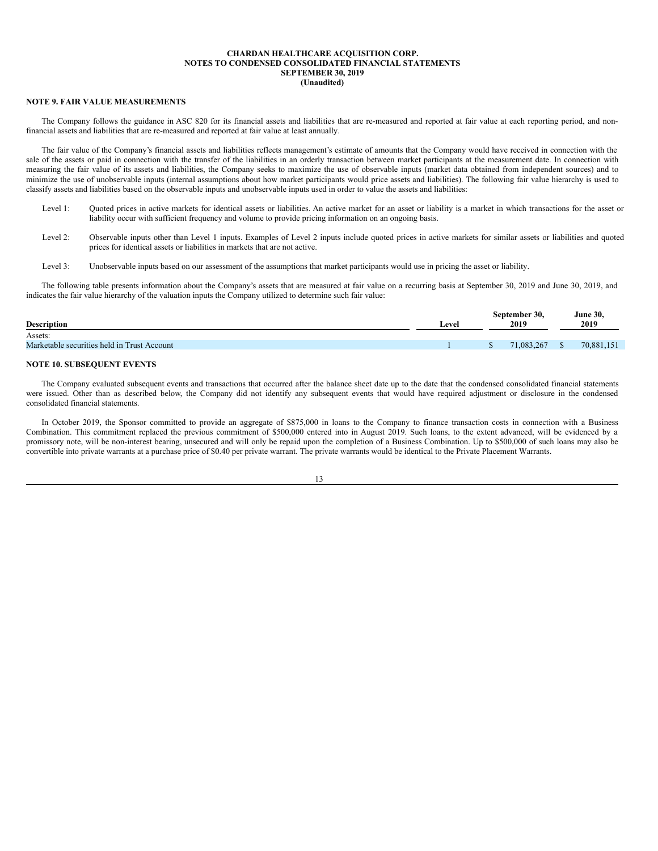#### **NOTE 9. FAIR VALUE MEASUREMENTS**

The Company follows the guidance in ASC 820 for its financial assets and liabilities that are re-measured and reported at fair value at each reporting period, and nonfinancial assets and liabilities that are re-measured and reported at fair value at least annually.

The fair value of the Company's financial assets and liabilities reflects management's estimate of amounts that the Company would have received in connection with the sale of the assets or paid in connection with the transfer of the liabilities in an orderly transaction between market participants at the measurement date. In connection with measuring the fair value of its assets and liabilities, the Company seeks to maximize the use of observable inputs (market data obtained from independent sources) and to minimize the use of unobservable inputs (internal assumptions about how market participants would price assets and liabilities). The following fair value hierarchy is used to classify assets and liabilities based on the observable inputs and unobservable inputs used in order to value the assets and liabilities:

- Level 1: Quoted prices in active markets for identical assets or liabilities. An active market for an asset or liability is a market in which transactions for the asset or liability occur with sufficient frequency and volume to provide pricing information on an ongoing basis.
- Level 2: Observable inputs other than Level 1 inputs. Examples of Level 2 inputs include quoted prices in active markets for similar assets or liabilities and quoted prices for identical assets or liabilities in markets that are not active.
- Level 3: Unobservable inputs based on our assessment of the assumptions that market participants would use in pricing the asset or liability.

The following table presents information about the Company's assets that are measured at fair value on a recurring basis at September 30, 2019 and June 30, 2019, and indicates the fair value hierarchy of the valuation inputs the Company utilized to determine such fair value:

| <b>Description</b>                          | Level | September 30,<br>2019 | <b>June 30,</b><br>2019 |
|---------------------------------------------|-------|-----------------------|-------------------------|
| Assets:                                     |       |                       |                         |
| Marketable securities held in Trust Account |       | 71,083,267            | 70,881,151              |
|                                             |       |                       |                         |

# **NOTE 10. SUBSEQUENT EVENTS**

The Company evaluated subsequent events and transactions that occurred after the balance sheet date up to the date that the condensed consolidated financial statements were issued. Other than as described below, the Company did not identify any subsequent events that would have required adjustment or disclosure in the condensed consolidated financial statements.

In October 2019, the Sponsor committed to provide an aggregate of \$875,000 in loans to the Company to finance transaction costs in connection with a Business Combination. This commitment replaced the previous commitment of \$500,000 entered into in August 2019. Such loans, to the extent advanced, will be evidenced by a promissory note, will be non-interest bearing, unsecured and will only be repaid upon the completion of a Business Combination. Up to \$500,000 of such loans may also be convertible into private warrants at a purchase price of \$0.40 per private warrant. The private warrants would be identical to the Private Placement Warrants.

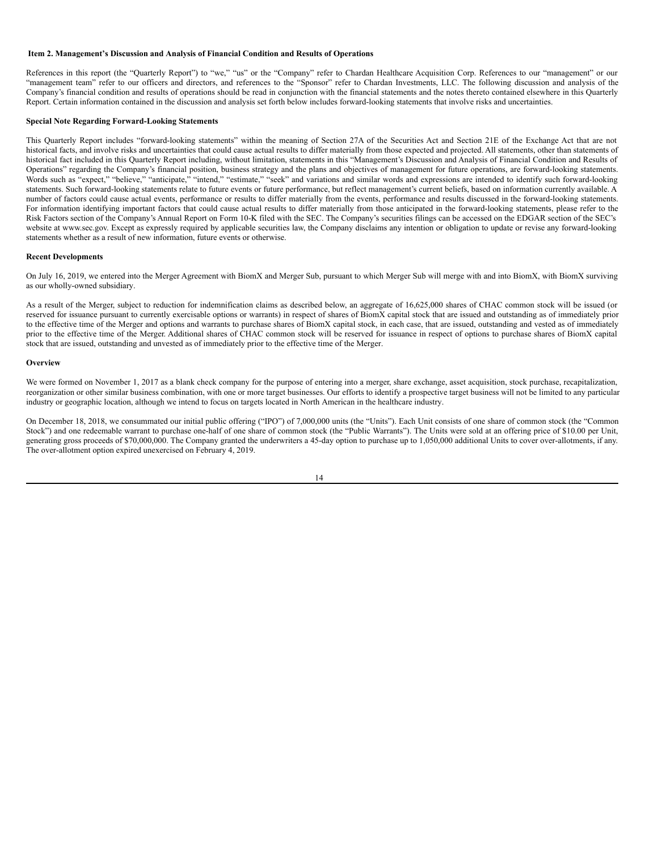## <span id="page-15-0"></span>**Item 2. Management's Discussion and Analysis of Financial Condition and Results of Operations**

References in this report (the "Quarterly Report") to "we," "us" or the "Company" refer to Chardan Healthcare Acquisition Corp. References to our "management" or our "management team" refer to our officers and directors, and references to the "Sponsor" refer to Chardan Investments, LLC. The following discussion and analysis of the Company's financial condition and results of operations should be read in conjunction with the financial statements and the notes thereto contained elsewhere in this Quarterly Report. Certain information contained in the discussion and analysis set forth below includes forward-looking statements that involve risks and uncertainties.

#### **Special Note Regarding Forward-Looking Statements**

This Quarterly Report includes "forward-looking statements" within the meaning of Section 27A of the Securities Act and Section 21E of the Exchange Act that are not historical facts, and involve risks and uncertainties that could cause actual results to differ materially from those expected and projected. All statements, other than statements of historical fact included in this Quarterly Report including, without limitation, statements in this "Management's Discussion and Analysis of Financial Condition and Results of Operations" regarding the Company's financial position, business strategy and the plans and objectives of management for future operations, are forward-looking statements. Words such as "expect," "believe," "anticipate," "intend," "estimate," "seek" and variations and similar words and expressions are intended to identify such forward-looking statements. Such forward-looking statements relate to future events or future performance, but reflect management's current beliefs, based on information currently available. A number of factors could cause actual events, performance or results to differ materially from the events, performance and results discussed in the forward-looking statements. For information identifying important factors that could cause actual results to differ materially from those anticipated in the forward-looking statements, please refer to the Risk Factors section of the Company's Annual Report on Form 10-K filed with the SEC. The Company's securities filings can be accessed on the EDGAR section of the SEC's website at www.sec.gov. Except as expressly required by applicable securities law, the Company disclaims any intention or obligation to update or revise any forward-looking statements whether as a result of new information, future events or otherwise.

#### **Recent Developments**

On July 16, 2019, we entered into the Merger Agreement with BiomX and Merger Sub, pursuant to which Merger Sub will merge with and into BiomX, with BiomX surviving as our wholly-owned subsidiary.

As a result of the Merger, subject to reduction for indemnification claims as described below, an aggregate of 16,625,000 shares of CHAC common stock will be issued (or reserved for issuance pursuant to currently exercisable options or warrants) in respect of shares of BiomX capital stock that are issued and outstanding as of immediately prior to the effective time of the Merger and options and warrants to purchase shares of BiomX capital stock, in each case, that are issued, outstanding and vested as of immediately prior to the effective time of the Merger. Additional shares of CHAC common stock will be reserved for issuance in respect of options to purchase shares of BiomX capital stock that are issued, outstanding and unvested as of immediately prior to the effective time of the Merger.

#### **Overview**

We were formed on November 1, 2017 as a blank check company for the purpose of entering into a merger, share exchange, asset acquisition, stock purchase, recapitalization, reorganization or other similar business combination, with one or more target businesses. Our efforts to identify a prospective target business will not be limited to any particular industry or geographic location, although we intend to focus on targets located in North American in the healthcare industry.

On December 18, 2018, we consummated our initial public offering ("IPO") of 7,000,000 units (the "Units"). Each Unit consists of one share of common stock (the "Common Stock") and one redeemable warrant to purchase one-half of one share of common stock (the "Public Warrants"). The Units were sold at an offering price of \$10.00 per Unit, generating gross proceeds of \$70,000,000. The Company granted the underwriters a 45-day option to purchase up to 1,050,000 additional Units to cover over-allotments, if any. The over-allotment option expired unexercised on February 4, 2019.

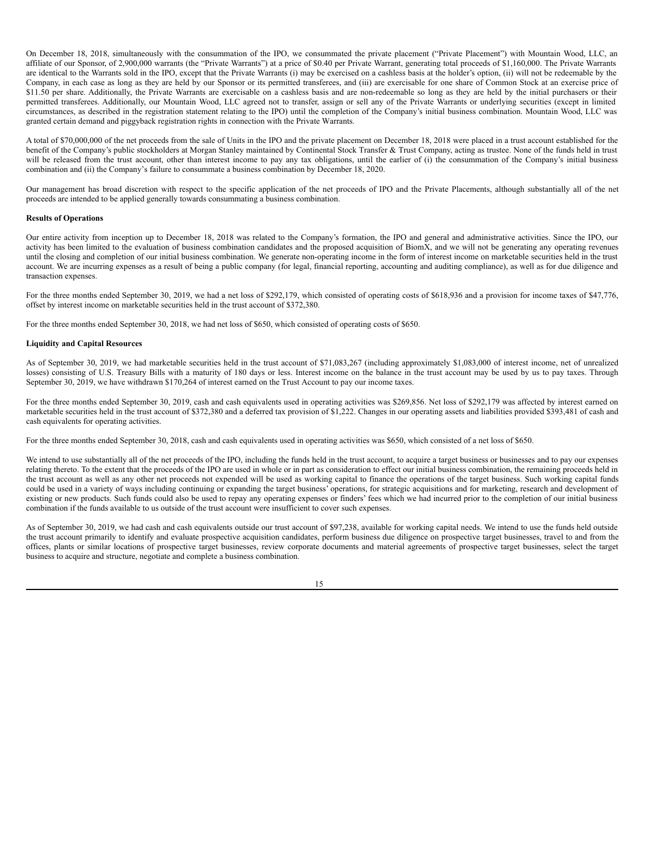On December 18, 2018, simultaneously with the consummation of the IPO, we consummated the private placement ("Private Placement") with Mountain Wood, LLC, an affiliate of our Sponsor, of 2,900,000 warrants (the "Private Warrants") at a price of \$0.40 per Private Warrant, generating total proceeds of \$1,160,000. The Private Warrants are identical to the Warrants sold in the IPO, except that the Private Warrants (i) may be exercised on a cashless basis at the holder's option, (ii) will not be redeemable by the Company, in each case as long as they are held by our Sponsor or its permitted transferees, and (iii) are exercisable for one share of Common Stock at an exercise price of \$11.50 per share. Additionally, the Private Warrants are exercisable on a cashless basis and are non-redeemable so long as they are held by the initial purchasers or their permitted transferees. Additionally, our Mountain Wood, LLC agreed not to transfer, assign or sell any of the Private Warrants or underlying securities (except in limited circumstances, as described in the registration statement relating to the IPO) until the completion of the Company's initial business combination. Mountain Wood, LLC was granted certain demand and piggyback registration rights in connection with the Private Warrants.

A total of \$70,000,000 of the net proceeds from the sale of Units in the IPO and the private placement on December 18, 2018 were placed in a trust account established for the benefit of the Company's public stockholders at Morgan Stanley maintained by Continental Stock Transfer & Trust Company, acting as trustee. None of the funds held in trust will be released from the trust account, other than interest income to pay any tax obligations, until the earlier of (i) the consummation of the Company's initial business combination and (ii) the Company's failure to consummate a business combination by December 18, 2020.

Our management has broad discretion with respect to the specific application of the net proceeds of IPO and the Private Placements, although substantially all of the net proceeds are intended to be applied generally towards consummating a business combination.

## **Results of Operations**

Our entire activity from inception up to December 18, 2018 was related to the Company's formation, the IPO and general and administrative activities. Since the IPO, our activity has been limited to the evaluation of business combination candidates and the proposed acquisition of BiomX, and we will not be generating any operating revenues until the closing and completion of our initial business combination. We generate non-operating income in the form of interest income on marketable securities held in the trust account. We are incurring expenses as a result of being a public company (for legal, financial reporting, accounting and auditing compliance), as well as for due diligence and transaction expenses.

For the three months ended September 30, 2019, we had a net loss of \$292,179, which consisted of operating costs of \$618,936 and a provision for income taxes of \$47,776, offset by interest income on marketable securities held in the trust account of \$372,380.

For the three months ended September 30, 2018, we had net loss of \$650, which consisted of operating costs of \$650.

#### **Liquidity and Capital Resources**

As of September 30, 2019, we had marketable securities held in the trust account of \$71,083,267 (including approximately \$1,083,000 of interest income, net of unrealized losses) consisting of U.S. Treasury Bills with a maturity of 180 days or less. Interest income on the balance in the trust account may be used by us to pay taxes. Through September 30, 2019, we have withdrawn \$170,264 of interest earned on the Trust Account to pay our income taxes.

For the three months ended September 30, 2019, cash and cash equivalents used in operating activities was \$269,856. Net loss of \$292,179 was affected by interest earned on marketable securities held in the trust account of \$372,380 and a deferred tax provision of \$1,222. Changes in our operating assets and liabilities provided \$393,481 of cash and cash equivalents for operating activities.

For the three months ended September 30, 2018, cash and cash equivalents used in operating activities was \$650, which consisted of a net loss of \$650.

We intend to use substantially all of the net proceeds of the IPO, including the funds held in the trust account, to acquire a target business or businesses and to pay our expenses relating thereto. To the extent that the proceeds of the IPO are used in whole or in part as consideration to effect our initial business combination, the remaining proceeds held in the trust account as well as any other net proceeds not expended will be used as working capital to finance the operations of the target business. Such working capital funds could be used in a variety of ways including continuing or expanding the target business' operations, for strategic acquisitions and for marketing, research and development of existing or new products. Such funds could also be used to repay any operating expenses or finders' fees which we had incurred prior to the completion of our initial business combination if the funds available to us outside of the trust account were insufficient to cover such expenses.

As of September 30, 2019, we had cash and cash equivalents outside our trust account of \$97,238, available for working capital needs. We intend to use the funds held outside the trust account primarily to identify and evaluate prospective acquisition candidates, perform business due diligence on prospective target businesses, travel to and from the offices, plants or similar locations of prospective target businesses, review corporate documents and material agreements of prospective target businesses, select the target business to acquire and structure, negotiate and complete a business combination.

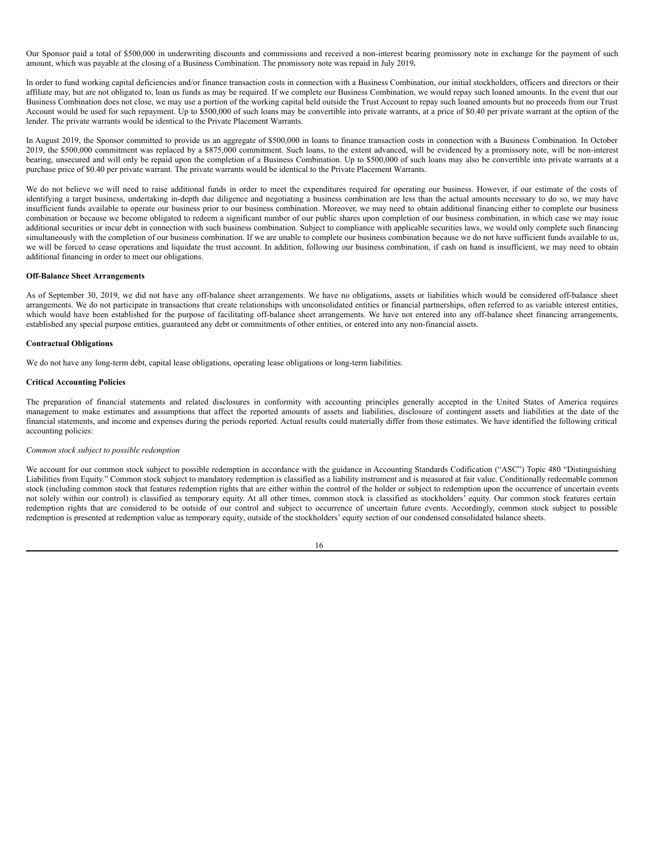Our Sponsor paid a total of \$500,000 in underwriting discounts and commissions and received a non-interest bearing promissory note in exchange for the payment of such amount, which was payable at the closing of a Business Combination. The promissory note was repaid in July 2019**.**

In order to fund working capital deficiencies and/or finance transaction costs in connection with a Business Combination, our initial stockholders, officers and directors or their affiliate may, but are not obligated to, loan us funds as may be required. If we complete our Business Combination, we would repay such loaned amounts. In the event that our Business Combination does not close, we may use a portion of the working capital held outside the Trust Account to repay such loaned amounts but no proceeds from our Trust Account would be used for such repayment. Up to \$500,000 of such loans may be convertible into private warrants, at a price of \$0.40 per private warrant at the option of the lender. The private warrants would be identical to the Private Placement Warrants.

In August 2019, the Sponsor committed to provide us an aggregate of \$500,000 in loans to finance transaction costs in connection with a Business Combination. In October 2019, the \$500,000 commitment was replaced by a \$875,000 commitment. Such loans, to the extent advanced, will be evidenced by a promissory note, will be non-interest bearing, unsecured and will only be repaid upon the completion of a Business Combination. Up to \$500,000 of such loans may also be convertible into private warrants at a purchase price of \$0.40 per private warrant. The private warrants would be identical to the Private Placement Warrants.

We do not believe we will need to raise additional funds in order to meet the expenditures required for operating our business. However, if our estimate of the costs of identifying a target business, undertaking in-depth due diligence and negotiating a business combination are less than the actual amounts necessary to do so, we may have insufficient funds available to operate our business prior to our business combination. Moreover, we may need to obtain additional financing either to complete our business combination or because we become obligated to redeem a significant number of our public shares upon completion of our business combination, in which case we may issue additional securities or incur debt in connection with such business combination. Subject to compliance with applicable securities laws, we would only complete such financing simultaneously with the completion of our business combination. If we are unable to complete our business combination because we do not have sufficient funds available to us, we will be forced to cease operations and liquidate the trust account. In addition, following our business combination, if cash on hand is insufficient, we may need to obtain additional financing in order to meet our obligations.

## **Off-Balance Sheet Arrangements**

As of September 30, 2019, we did not have any off-balance sheet arrangements. We have no obligations, assets or liabilities which would be considered off-balance sheet arrangements. We do not participate in transactions that create relationships with unconsolidated entities or financial partnerships, often referred to as variable interest entities, which would have been established for the purpose of facilitating off-balance sheet arrangements. We have not entered into any off-balance sheet financing arrangements, established any special purpose entities, guaranteed any debt or commitments of other entities, or entered into any non-financial assets.

## **Contractual Obligations**

We do not have any long-term debt, capital lease obligations, operating lease obligations or long-term liabilities.

## **Critical Accounting Policies**

The preparation of financial statements and related disclosures in conformity with accounting principles generally accepted in the United States of America requires management to make estimates and assumptions that affect the reported amounts of assets and liabilities, disclosure of contingent assets and liabilities at the date of the financial statements, and income and expenses during the periods reported. Actual results could materially differ from those estimates. We have identified the following critical accounting policies:

#### *Common stock subject to possible redemption*

We account for our common stock subject to possible redemption in accordance with the guidance in Accounting Standards Codification ("ASC") Topic 480 "Distinguishing Liabilities from Equity." Common stock subject to mandatory redemption is classified as a liability instrument and is measured at fair value. Conditionally redeemable common stock (including common stock that features redemption rights that are either within the control of the holder or subject to redemption upon the occurrence of uncertain events not solely within our control) is classified as temporary equity. At all other times, common stock is classified as stockholders' equity. Our common stock features certain redemption rights that are considered to be outside of our control and subject to occurrence of uncertain future events. Accordingly, common stock subject to possible redemption is presented at redemption value as temporary equity, outside of the stockholders' equity section of our condensed consolidated balance sheets.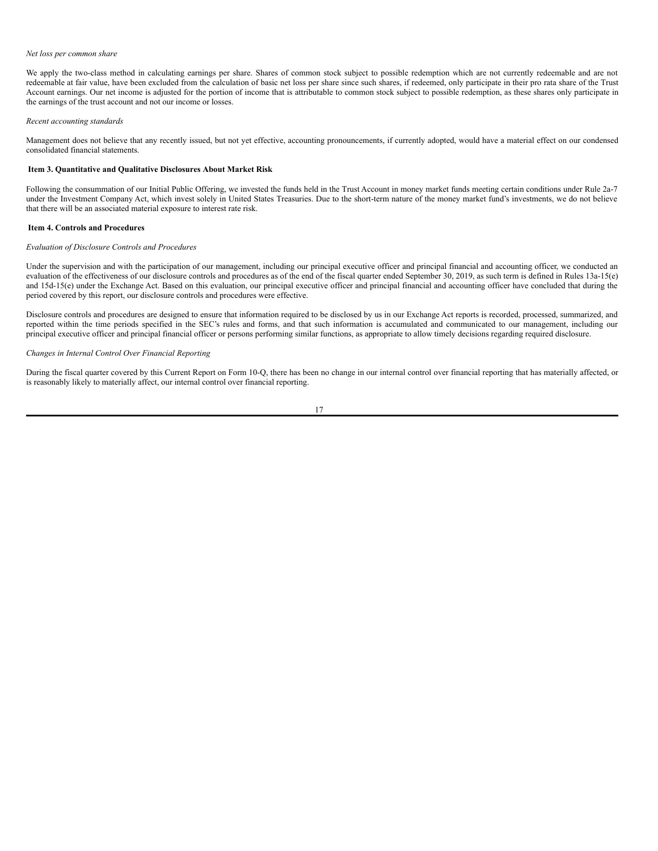#### *Net loss per common share*

We apply the two-class method in calculating earnings per share. Shares of common stock subject to possible redemption which are not currently redeemable and are not redeemable at fair value, have been excluded from the calculation of basic net loss per share since such shares, if redeemed, only participate in their pro rata share of the Trust Account earnings. Our net income is adjusted for the portion of income that is attributable to common stock subject to possible redemption, as these shares only participate in the earnings of the trust account and not our income or losses.

#### *Recent accounting standards*

Management does not believe that any recently issued, but not yet effective, accounting pronouncements, if currently adopted, would have a material effect on our condensed consolidated financial statements.

# <span id="page-18-0"></span>**Item 3. Quantitative and Qualitative Disclosures About Market Risk**

Following the consummation of our Initial Public Offering, we invested the funds held in the Trust Account in money market funds meeting certain conditions under Rule 2a-7 under the Investment Company Act, which invest solely in United States Treasuries. Due to the short-term nature of the money market fund's investments, we do not believe that there will be an associated material exposure to interest rate risk.

#### <span id="page-18-1"></span>**Item 4. Controls and Procedures**

## *Evaluation of Disclosure Controls and Procedures*

Under the supervision and with the participation of our management, including our principal executive officer and principal financial and accounting officer, we conducted an evaluation of the effectiveness of our disclosure controls and procedures as of the end of the fiscal quarter ended September 30, 2019, as such term is defined in Rules 13a-15(e) and 15d-15(e) under the Exchange Act. Based on this evaluation, our principal executive officer and principal financial and accounting officer have concluded that during the period covered by this report, our disclosure controls and procedures were effective.

Disclosure controls and procedures are designed to ensure that information required to be disclosed by us in our Exchange Act reports is recorded, processed, summarized, and reported within the time periods specified in the SEC's rules and forms, and that such information is accumulated and communicated to our management, including our principal executive officer and principal financial officer or persons performing similar functions, as appropriate to allow timely decisions regarding required disclosure.

## *Changes in Internal Control Over Financial Reporting*

During the fiscal quarter covered by this Current Report on Form 10-Q, there has been no change in our internal control over financial reporting that has materially affected, or is reasonably likely to materially affect, our internal control over financial reporting.

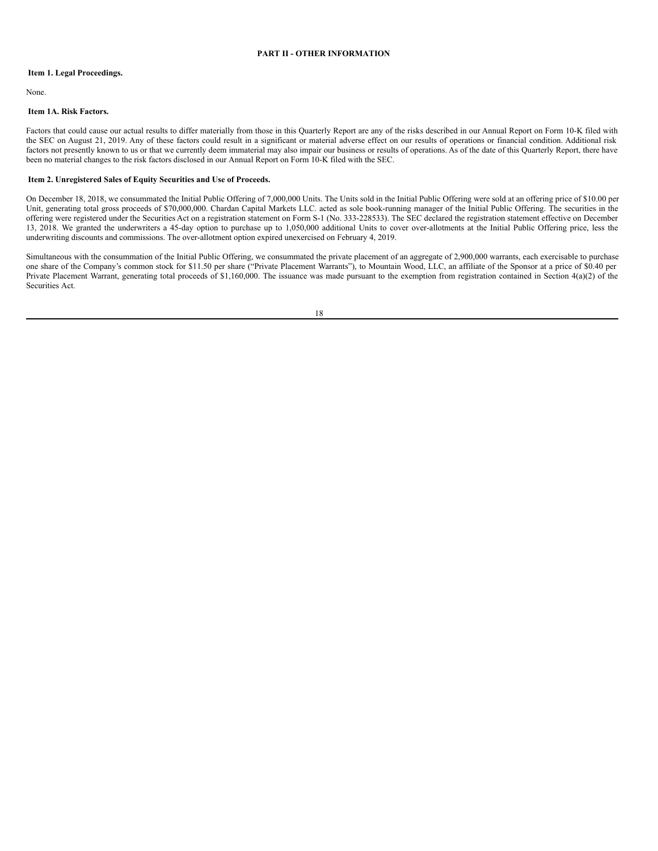## <span id="page-19-0"></span>**PART II - OTHER INFORMATION**

## <span id="page-19-1"></span>**Item 1. Legal Proceedings.**

None.

# <span id="page-19-2"></span>**Item 1A. Risk Factors.**

Factors that could cause our actual results to differ materially from those in this Quarterly Report are any of the risks described in our Annual Report on Form 10-K filed with the SEC on August 21, 2019. Any of these factors could result in a significant or material adverse effect on our results of operations or financial condition. Additional risk factors not presently known to us or that we currently deem immaterial may also impair our business or results of operations. As of the date of this Quarterly Report, there have been no material changes to the risk factors disclosed in our Annual Report on Form 10-K filed with the SEC.

## <span id="page-19-3"></span>**Item 2. Unregistered Sales of Equity Securities and Use of Proceeds.**

On December 18, 2018, we consummated the Initial Public Offering of 7,000,000 Units. The Units sold in the Initial Public Offering were sold at an offering price of \$10.00 per Unit, generating total gross proceeds of \$70,000,000. Chardan Capital Markets LLC. acted as sole book-running manager of the Initial Public Offering. The securities in the offering were registered under the Securities Act on a registration statement on Form S-1 (No. 333-228533). The SEC declared the registration statement effective on December 13, 2018. We granted the underwriters a 45-day option to purchase up to 1,050,000 additional Units to cover over-allotments at the Initial Public Offering price, less the underwriting discounts and commissions. The over-allotment option expired unexercised on February 4, 2019.

Simultaneous with the consummation of the Initial Public Offering, we consummated the private placement of an aggregate of 2,900,000 warrants, each exercisable to purchase one share of the Company's common stock for \$11.50 per share ("Private Placement Warrants"), to Mountain Wood, LLC, an affiliate of the Sponsor at a price of \$0.40 per Private Placement Warrant, generating total proceeds of \$1,160,000. The issuance was made pursuant to the exemption from registration contained in Section 4(a)(2) of the Securities Act.

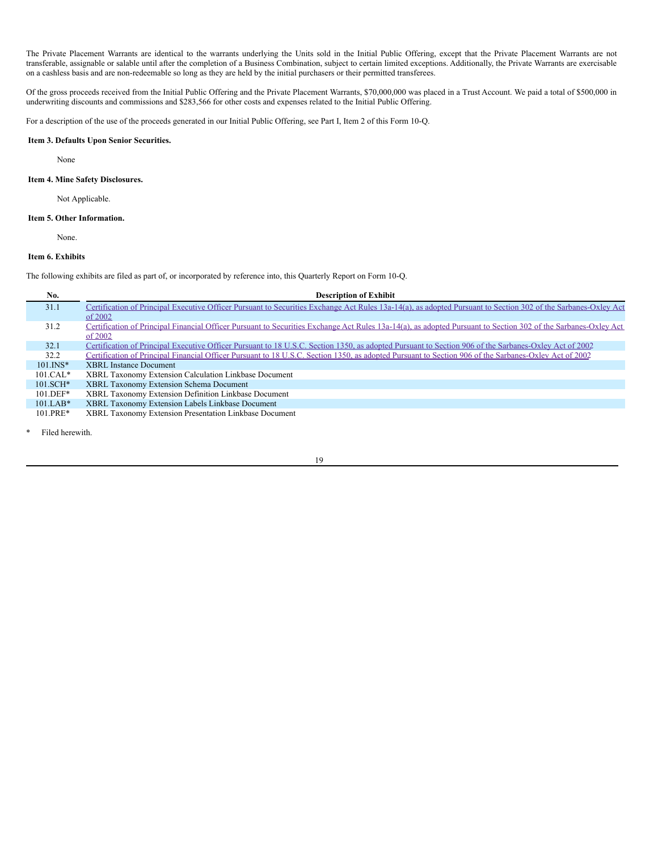The Private Placement Warrants are identical to the warrants underlying the Units sold in the Initial Public Offering, except that the Private Placement Warrants are not transferable, assignable or salable until after the completion of a Business Combination, subject to certain limited exceptions. Additionally, the Private Warrants are exercisable on a cashless basis and are non-redeemable so long as they are held by the initial purchasers or their permitted transferees.

Of the gross proceeds received from the Initial Public Offering and the Private Placement Warrants, \$70,000,000 was placed in a Trust Account. We paid a total of \$500,000 in underwriting discounts and commissions and \$283,566 for other costs and expenses related to the Initial Public Offering.

For a description of the use of the proceeds generated in our Initial Public Offering, see Part I, Item 2 of this Form 10-Q.

# <span id="page-20-0"></span>**Item 3. Defaults Upon Senior Securities.**

None

# <span id="page-20-1"></span>**Item 4. Mine Safety Disclosures.**

Not Applicable.

#### <span id="page-20-2"></span>**Item 5. Other Information.**

None.

# <span id="page-20-3"></span>**Item 6. Exhibits**

The following exhibits are filed as part of, or incorporated by reference into, this Quarterly Report on Form 10-Q.

| No.           | <b>Description of Exhibit</b>                                                                                                                                  |
|---------------|----------------------------------------------------------------------------------------------------------------------------------------------------------------|
| 31.1          | Certification of Principal Executive Officer Pursuant to Securities Exchange Act Rules 13a-14(a), as adopted Pursuant to Section 302 of the Sarbanes-Oxley Act |
|               | of $2002$                                                                                                                                                      |
| 31.2          | Certification of Principal Financial Officer Pursuant to Securities Exchange Act Rules 13a-14(a), as adopted Pursuant to Section 302 of the Sarbanes-Oxley Act |
|               | of $2002$                                                                                                                                                      |
| 32.1          | Certification of Principal Executive Officer Pursuant to 18 U.S.C. Section 1350, as adopted Pursuant to Section 906 of the Sarbanes-Oxley Act of 2002          |
| 32.2          | Certification of Principal Financial Officer Pursuant to 18 U.S.C. Section 1350, as adopted Pursuant to Section 906 of the Sarbanes-Oxley Act of 2002          |
| $101.$ $INS*$ | <b>XBRL</b> Instance Document                                                                                                                                  |
| $101.CAL*$    | XBRL Taxonomy Extension Calculation Linkbase Document                                                                                                          |
| $101.SCH*$    | XBRL Taxonomy Extension Schema Document                                                                                                                        |
| $101.DEF*$    | XBRL Taxonomy Extension Definition Linkbase Document                                                                                                           |
| $101.IAB*$    | XBRL Taxonomy Extension Labels Linkbase Document                                                                                                               |
| $101.PRE*$    | XBRL Taxonomy Extension Presentation Linkbase Document                                                                                                         |

Filed herewith.

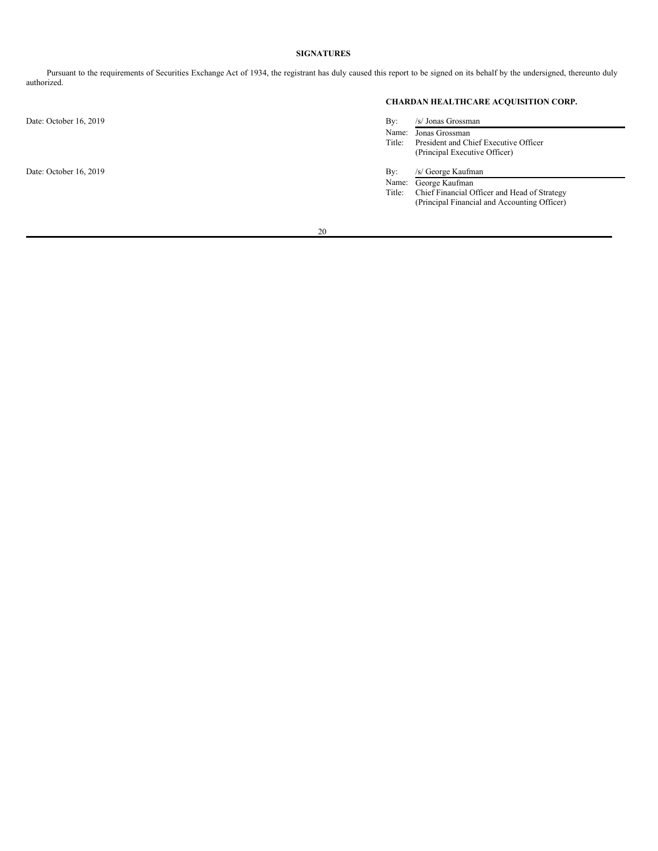# <span id="page-21-0"></span>**SIGNATURES**

Pursuant to the requirements of Securities Exchange Act of 1934, the registrant has duly caused this report to be signed on its behalf by the undersigned, thereunto duly authorized.

Date: October 16, 2019

Date: October 16, 2019

# **CHARDAN HEALTHCARE ACQUISITION CORP.**

| By:    | /s/ Jonas Grossman                           |
|--------|----------------------------------------------|
| Name:  | Jonas Grossman                               |
| Title: | President and Chief Executive Officer        |
|        | (Principal Executive Officer)                |
|        |                                              |
| By:    | /s/ George Kaufman                           |
| Name:  | George Kaufman                               |
| Title: | Chief Financial Officer and Head of Strategy |
|        | (Principal Financial and Accounting Officer) |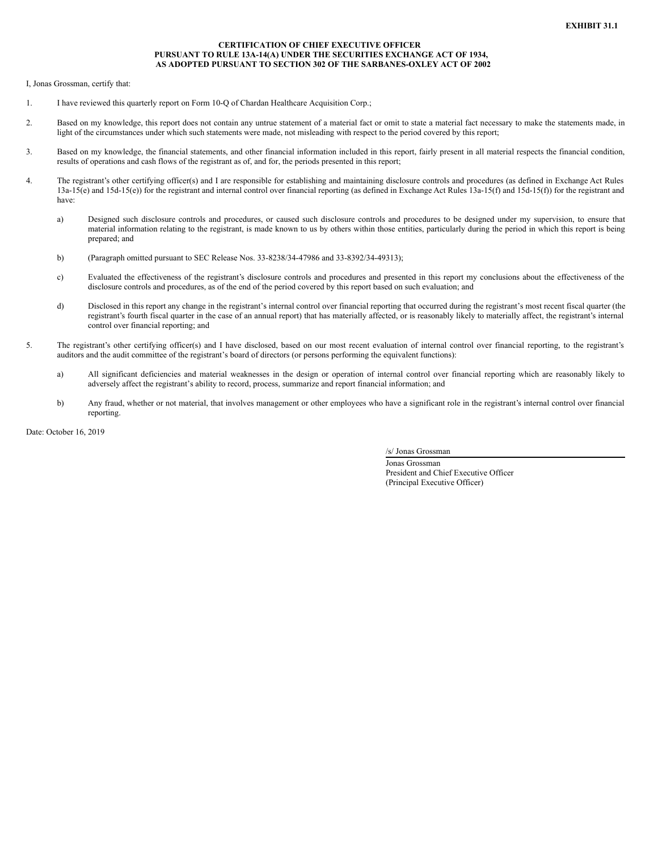## **CERTIFICATION OF CHIEF EXECUTIVE OFFICER PURSUANT TO RULE 13A-14(A) UNDER THE SECURITIES EXCHANGE ACT OF 1934, AS ADOPTED PURSUANT TO SECTION 302 OF THE SARBANES-OXLEY ACT OF 2002**

<span id="page-22-0"></span>I, Jonas Grossman, certify that:

- 1. I have reviewed this quarterly report on Form 10-Q of Chardan Healthcare Acquisition Corp.;
- 2. Based on my knowledge, this report does not contain any untrue statement of a material fact or omit to state a material fact necessary to make the statements made, in light of the circumstances under which such statements were made, not misleading with respect to the period covered by this report;
- 3. Based on my knowledge, the financial statements, and other financial information included in this report, fairly present in all material respects the financial condition, results of operations and cash flows of the registrant as of, and for, the periods presented in this report;
- 4. The registrant's other certifying officer(s) and I are responsible for establishing and maintaining disclosure controls and procedures (as defined in Exchange Act Rules 13a-15(e) and 15d-15(e)) for the registrant and internal control over financial reporting (as defined in Exchange Act Rules 13a-15(f) and 15d-15(f)) for the registrant and have:
	- a) Designed such disclosure controls and procedures, or caused such disclosure controls and procedures to be designed under my supervision, to ensure that material information relating to the registrant, is made known to us by others within those entities, particularly during the period in which this report is being prepared; and
	- b) (Paragraph omitted pursuant to SEC Release Nos. 33-8238/34-47986 and 33-8392/34-49313);
	- c) Evaluated the effectiveness of the registrant's disclosure controls and procedures and presented in this report my conclusions about the effectiveness of the disclosure controls and procedures, as of the end of the period covered by this report based on such evaluation; and
	- d) Disclosed in this report any change in the registrant's internal control over financial reporting that occurred during the registrant's most recent fiscal quarter (the registrant's fourth fiscal quarter in the case of an annual report) that has materially affected, or is reasonably likely to materially affect, the registrant's internal control over financial reporting; and
- 5. The registrant's other certifying officer(s) and I have disclosed, based on our most recent evaluation of internal control over financial reporting, to the registrant's auditors and the audit committee of the registrant's board of directors (or persons performing the equivalent functions):
	- a) All significant deficiencies and material weaknesses in the design or operation of internal control over financial reporting which are reasonably likely to adversely affect the registrant's ability to record, process, summarize and report financial information; and
	- b) Any fraud, whether or not material, that involves management or other employees who have a significant role in the registrant's internal control over financial reporting.

Date: October 16, 2019

/s/ Jonas Grossman

Jonas Grossman President and Chief Executive Officer (Principal Executive Officer)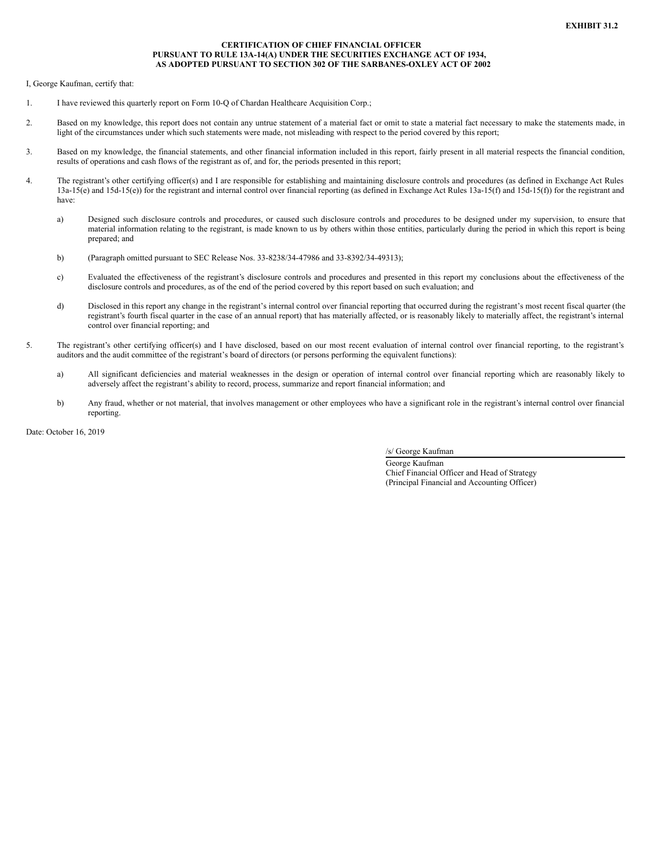## **CERTIFICATION OF CHIEF FINANCIAL OFFICER PURSUANT TO RULE 13A-14(A) UNDER THE SECURITIES EXCHANGE ACT OF 1934, AS ADOPTED PURSUANT TO SECTION 302 OF THE SARBANES-OXLEY ACT OF 2002**

<span id="page-23-0"></span>I, George Kaufman, certify that:

- 1. I have reviewed this quarterly report on Form 10-Q of Chardan Healthcare Acquisition Corp.;
- 2. Based on my knowledge, this report does not contain any untrue statement of a material fact or omit to state a material fact necessary to make the statements made, in light of the circumstances under which such statements were made, not misleading with respect to the period covered by this report;
- 3. Based on my knowledge, the financial statements, and other financial information included in this report, fairly present in all material respects the financial condition, results of operations and cash flows of the registrant as of, and for, the periods presented in this report;
- 4. The registrant's other certifying officer(s) and I are responsible for establishing and maintaining disclosure controls and procedures (as defined in Exchange Act Rules 13a-15(e) and 15d-15(e)) for the registrant and internal control over financial reporting (as defined in Exchange Act Rules 13a-15(f) and 15d-15(f)) for the registrant and have:
	- a) Designed such disclosure controls and procedures, or caused such disclosure controls and procedures to be designed under my supervision, to ensure that material information relating to the registrant, is made known to us by others within those entities, particularly during the period in which this report is being prepared; and
	- b) (Paragraph omitted pursuant to SEC Release Nos. 33-8238/34-47986 and 33-8392/34-49313);
	- c) Evaluated the effectiveness of the registrant's disclosure controls and procedures and presented in this report my conclusions about the effectiveness of the disclosure controls and procedures, as of the end of the period covered by this report based on such evaluation; and
	- d) Disclosed in this report any change in the registrant's internal control over financial reporting that occurred during the registrant's most recent fiscal quarter (the registrant's fourth fiscal quarter in the case of an annual report) that has materially affected, or is reasonably likely to materially affect, the registrant's internal control over financial reporting; and
- 5. The registrant's other certifying officer(s) and I have disclosed, based on our most recent evaluation of internal control over financial reporting, to the registrant's auditors and the audit committee of the registrant's board of directors (or persons performing the equivalent functions):
	- a) All significant deficiencies and material weaknesses in the design or operation of internal control over financial reporting which are reasonably likely to adversely affect the registrant's ability to record, process, summarize and report financial information; and
	- b) Any fraud, whether or not material, that involves management or other employees who have a significant role in the registrant's internal control over financial reporting.

Date: October 16, 2019

/s/ George Kaufman

George Kaufman Chief Financial Officer and Head of Strategy (Principal Financial and Accounting Officer)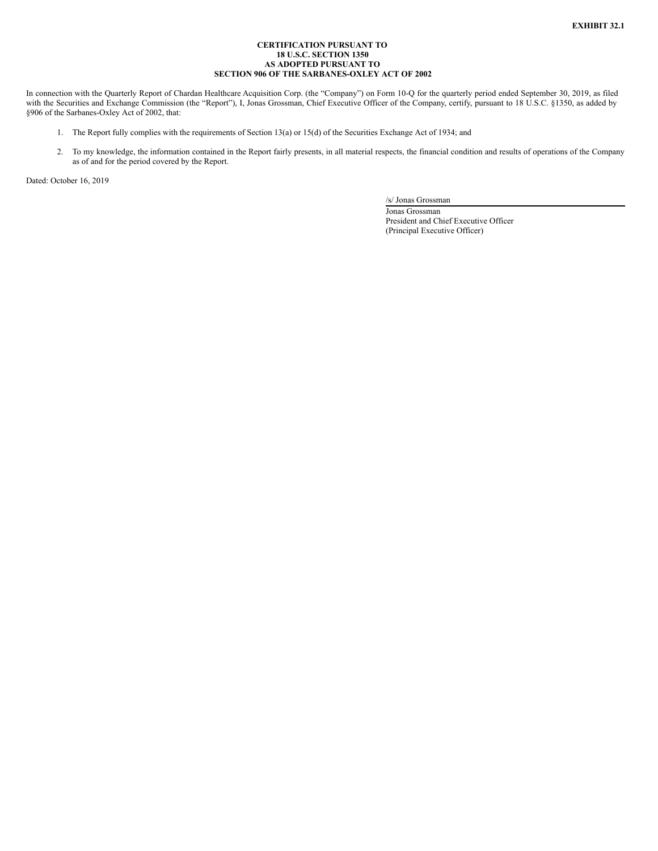## **CERTIFICATION PURSUANT TO 18 U.S.C. SECTION 1350 AS ADOPTED PURSUANT TO SECTION 906 OF THE SARBANES-OXLEY ACT OF 2002**

<span id="page-24-0"></span>In connection with the Quarterly Report of Chardan Healthcare Acquisition Corp. (the "Company") on Form 10-Q for the quarterly period ended September 30, 2019, as filed with the Securities and Exchange Commission (the "Report"), I, Jonas Grossman, Chief Executive Officer of the Company, certify, pursuant to 18 U.S.C. §1350, as added by §906 of the Sarbanes-Oxley Act of 2002, that:

- 1. The Report fully complies with the requirements of Section 13(a) or 15(d) of the Securities Exchange Act of 1934; and
- 2. To my knowledge, the information contained in the Report fairly presents, in all material respects, the financial condition and results of operations of the Company as of and for the period covered by the Report.

Dated: October 16, 2019

/s/ Jonas Grossman

Jonas Grossman President and Chief Executive Officer (Principal Executive Officer)